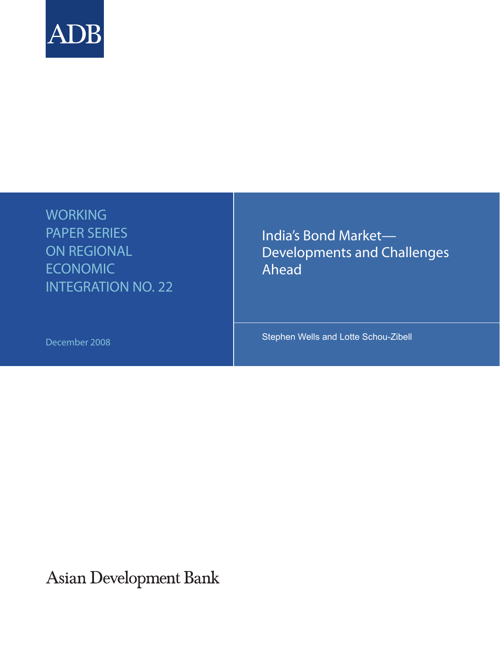

**WORKING** PAPER SERIES ON REGIONAL ECONOMIC INTEGRATION NO. 22

India's Bond Market— Developments and Challenges Ahead

Stephen Wells and Lotte Schou-Zibell December 2008

Asian Development Bank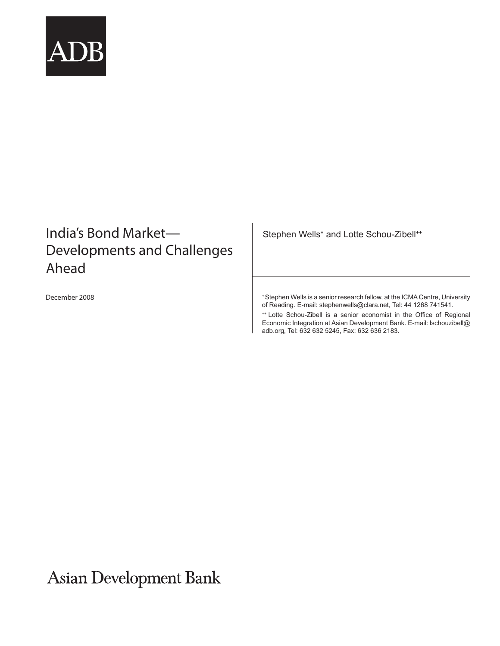

# India's Bond Market— **Indiated** Stephen Wells<sup>+</sup> and Lotte Schou-Zibell<sup>++</sup> Developments and Challenges Ahead

December 2008

+ Stephen Wells is a senior research fellow, at the ICMA Centre, University of Reading. E-mail: stephenwells@clara.net, Tel: 44 1268 741541.

<sup>++</sup> Lotte Schou-Zibell is a senior economist in the Office of Regional Economic Integration at Asian Development Bank. E-mail: lschouzibell@ adb.org, Tel: 632 632 5245, Fax: 632 636 2183.

Asian Development Bank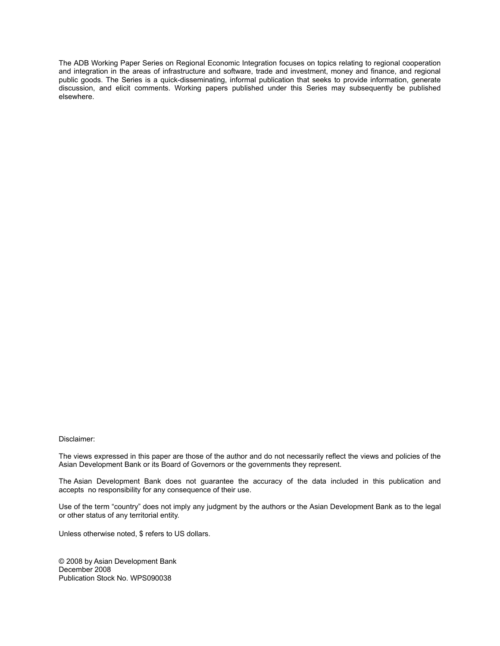The ADB Working Paper Series on Regional Economic Integration focuses on topics relating to regional cooperation and integration in the areas of infrastructure and software, trade and investment, money and finance, and regional public goods. The Series is a quick-disseminating, informal publication that seeks to provide information, generate discussion, and elicit comments. Working papers published under this Series may subsequently be published elsewhere.

Disclaimer:

The views expressed in this paper are those of the author and do not necessarily reflect the views and policies of the Asian Development Bank or its Board of Governors or the governments they represent.

The Asian Development Bank does not guarantee the accuracy of the data included in this publication and accepts no responsibility for any consequence of their use.

Use of the term "country" does not imply any judgment by the authors or the Asian Development Bank as to the legal or other status of any territorial entity.

Unless otherwise noted, \$ refers to US dollars.

© 2008 by Asian Development Bank December 2008 Publication Stock No. WPS090038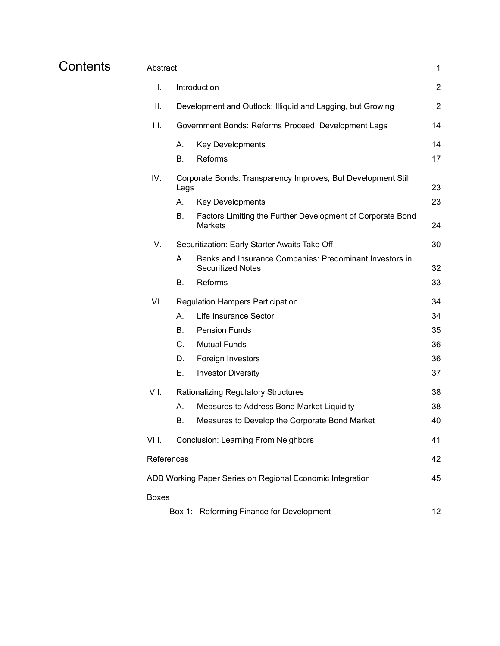| Contents | Abstract                                                  |                                                            |                                                                                     |                |  |  |  |
|----------|-----------------------------------------------------------|------------------------------------------------------------|-------------------------------------------------------------------------------------|----------------|--|--|--|
|          | I.                                                        |                                                            | Introduction                                                                        | $\overline{2}$ |  |  |  |
|          | ΙΙ.                                                       | Development and Outlook: Illiquid and Lagging, but Growing |                                                                                     |                |  |  |  |
|          | III.                                                      |                                                            | 14<br>Government Bonds: Reforms Proceed, Development Lags                           |                |  |  |  |
|          |                                                           | А.                                                         | <b>Key Developments</b>                                                             | 14             |  |  |  |
|          |                                                           | В.                                                         | <b>Reforms</b>                                                                      | 17             |  |  |  |
|          | IV.                                                       |                                                            | Corporate Bonds: Transparency Improves, But Development Still<br>Lags               |                |  |  |  |
|          |                                                           | А.                                                         | <b>Key Developments</b>                                                             | 23             |  |  |  |
|          |                                                           | В.                                                         | Factors Limiting the Further Development of Corporate Bond<br>Markets               | 24             |  |  |  |
|          | V.                                                        |                                                            | Securitization: Early Starter Awaits Take Off                                       | 30             |  |  |  |
|          |                                                           | А.                                                         | Banks and Insurance Companies: Predominant Investors in<br><b>Securitized Notes</b> | 32             |  |  |  |
|          |                                                           | В.                                                         | Reforms                                                                             | 33             |  |  |  |
|          | VI.                                                       |                                                            | <b>Regulation Hampers Participation</b>                                             | 34             |  |  |  |
|          |                                                           | А.                                                         | Life Insurance Sector                                                               | 34             |  |  |  |
|          |                                                           | В.                                                         | <b>Pension Funds</b>                                                                | 35             |  |  |  |
|          |                                                           | C.                                                         | <b>Mutual Funds</b>                                                                 | 36             |  |  |  |
|          |                                                           | D.                                                         | Foreign Investors                                                                   | 36             |  |  |  |
|          |                                                           | Е.                                                         | <b>Investor Diversity</b>                                                           | 37             |  |  |  |
|          | VII.                                                      |                                                            | <b>Rationalizing Regulatory Structures</b>                                          | 38             |  |  |  |
|          |                                                           | А.                                                         | Measures to Address Bond Market Liquidity                                           | 38             |  |  |  |
|          |                                                           | Β.                                                         | Measures to Develop the Corporate Bond Market                                       | 40             |  |  |  |
|          | VIII.                                                     |                                                            | <b>Conclusion: Learning From Neighbors</b>                                          | 41             |  |  |  |
|          | References                                                |                                                            |                                                                                     |                |  |  |  |
|          | ADB Working Paper Series on Regional Economic Integration |                                                            |                                                                                     |                |  |  |  |

| Boxes |                                          |  |
|-------|------------------------------------------|--|
|       | Box 1: Reforming Finance for Development |  |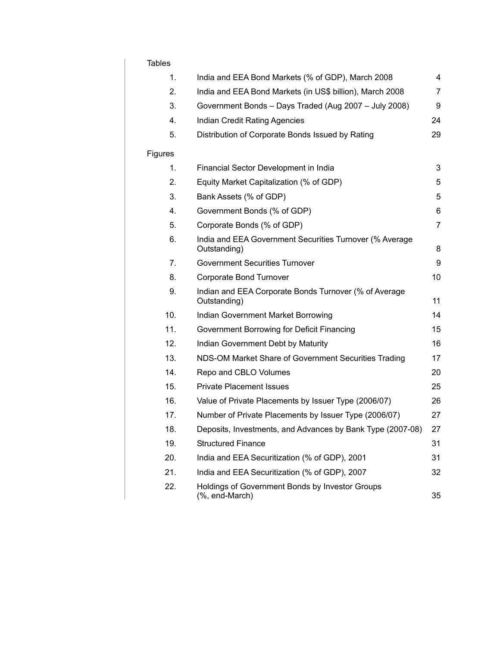#### Tables

| 1.      | India and EEA Bond Markets (% of GDP), March 2008                       | 4  |
|---------|-------------------------------------------------------------------------|----|
| 2.      | India and EEA Bond Markets (in US\$ billion), March 2008                | 7  |
| 3.      | Government Bonds - Days Traded (Aug 2007 - July 2008)                   | 9  |
| 4.      | Indian Credit Rating Agencies                                           | 24 |
| 5.      | Distribution of Corporate Bonds Issued by Rating                        | 29 |
| Figures |                                                                         |    |
| 1.      | Financial Sector Development in India                                   | 3  |
| 2.      | Equity Market Capitalization (% of GDP)                                 | 5  |
| 3.      | Bank Assets (% of GDP)                                                  | 5  |
| 4.      | Government Bonds (% of GDP)                                             | 6  |
| 5.      | Corporate Bonds (% of GDP)                                              | 7  |
| 6.      | India and EEA Government Securities Turnover (% Average<br>Outstanding) | 8  |
| 7.      | <b>Government Securities Turnover</b>                                   | 9  |
| 8.      | Corporate Bond Turnover                                                 | 10 |
| 9.      | Indian and EEA Corporate Bonds Turnover (% of Average<br>Outstanding)   | 11 |
| 10.     | Indian Government Market Borrowing                                      | 14 |
| 11.     | Government Borrowing for Deficit Financing                              | 15 |
| 12.     | Indian Government Debt by Maturity                                      | 16 |
| 13.     | NDS-OM Market Share of Government Securities Trading                    | 17 |
| 14.     | Repo and CBLO Volumes                                                   | 20 |
| 15.     | <b>Private Placement Issues</b>                                         | 25 |
| 16.     | Value of Private Placements by Issuer Type (2006/07)                    | 26 |
| 17.     | Number of Private Placements by Issuer Type (2006/07)                   | 27 |
| 18.     | Deposits, Investments, and Advances by Bank Type (2007-08)              | 27 |
| 19.     | <b>Structured Finance</b>                                               | 31 |
| 20.     | India and EEA Securitization (% of GDP), 2001                           | 31 |
| 21.     | India and EEA Securitization (% of GDP), 2007                           | 32 |
| 22.     | Holdings of Government Bonds by Investor Groups<br>(%, end-March)       | 35 |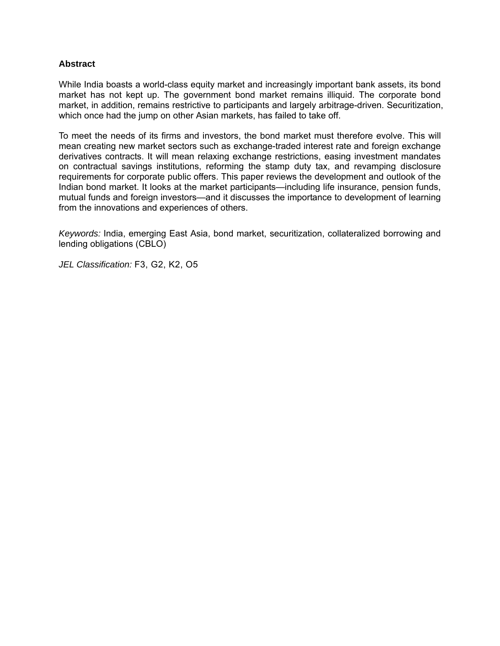#### **Abstract**

While India boasts a world-class equity market and increasingly important bank assets, its bond market has not kept up. The government bond market remains illiquid. The corporate bond market, in addition, remains restrictive to participants and largely arbitrage-driven. Securitization, which once had the jump on other Asian markets, has failed to take off.

To meet the needs of its firms and investors, the bond market must therefore evolve. This will mean creating new market sectors such as exchange-traded interest rate and foreign exchange derivatives contracts. It will mean relaxing exchange restrictions, easing investment mandates on contractual savings institutions, reforming the stamp duty tax, and revamping disclosure requirements for corporate public offers. This paper reviews the development and outlook of the Indian bond market. It looks at the market participants—including life insurance, pension funds, mutual funds and foreign investors—and it discusses the importance to development of learning from the innovations and experiences of others.

*Keywords:* India, emerging East Asia, bond market, securitization, collateralized borrowing and lending obligations (CBLO)

*JEL Classification:* F3, G2, K2, O5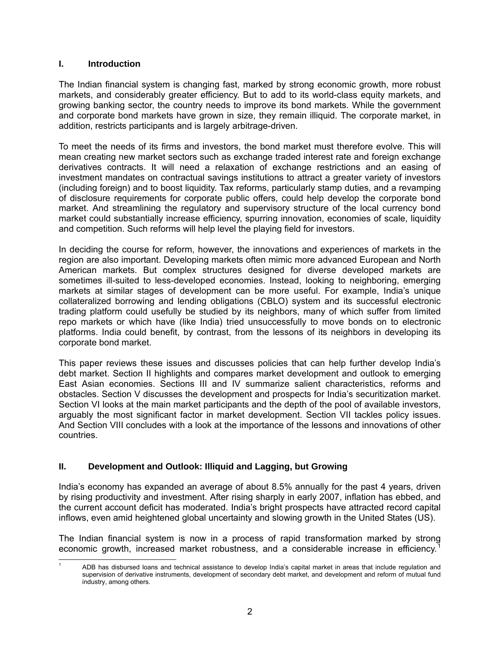### **I. Introduction**

The Indian financial system is changing fast, marked by strong economic growth, more robust markets, and considerably greater efficiency. But to add to its world-class equity markets, and growing banking sector, the country needs to improve its bond markets. While the government and corporate bond markets have grown in size, they remain illiquid. The corporate market, in addition, restricts participants and is largely arbitrage-driven.

To meet the needs of its firms and investors, the bond market must therefore evolve. This will mean creating new market sectors such as exchange traded interest rate and foreign exchange derivatives contracts. It will need a relaxation of exchange restrictions and an easing of investment mandates on contractual savings institutions to attract a greater variety of investors (including foreign) and to boost liquidity. Tax reforms, particularly stamp duties, and a revamping of disclosure requirements for corporate public offers, could help develop the corporate bond market. And streamlining the regulatory and supervisory structure of the local currency bond market could substantially increase efficiency, spurring innovation, economies of scale, liquidity and competition. Such reforms will help level the playing field for investors.

In deciding the course for reform, however, the innovations and experiences of markets in the region are also important. Developing markets often mimic more advanced European and North American markets. But complex structures designed for diverse developed markets are sometimes ill-suited to less-developed economies. Instead, looking to neighboring, emerging markets at similar stages of development can be more useful. For example, India's unique collateralized borrowing and lending obligations (CBLO) system and its successful electronic trading platform could usefully be studied by its neighbors, many of which suffer from limited repo markets or which have (like India) tried unsuccessfully to move bonds on to electronic platforms. India could benefit, by contrast, from the lessons of its neighbors in developing its corporate bond market.

This paper reviews these issues and discusses policies that can help further develop India's debt market. Section II highlights and compares market development and outlook to emerging East Asian economies. Sections III and IV summarize salient characteristics, reforms and obstacles. Section V discusses the development and prospects for India's securitization market. Section VI looks at the main market participants and the depth of the pool of available investors, arguably the most significant factor in market development. Section VII tackles policy issues. And Section VIII concludes with a look at the importance of the lessons and innovations of other countries.

# **II. Development and Outlook: Illiquid and Lagging, but Growing**

India's economy has expanded an average of about 8.5% annually for the past 4 years, driven by rising productivity and investment. After rising sharply in early 2007, inflation has ebbed, and the current account deficit has moderated. India's bright prospects have attracted record capital inflows, even amid heightened global uncertainty and slowing growth in the United States (US).

The Indian financial system is now in a process of rapid transformation marked by strong economic growth, increased market robustness, and a considerable increase in efficiency.<sup>1</sup>

 $\overline{a}$ 1 ADB has disbursed loans and technical assistance to develop India's capital market in areas that include regulation and supervision of derivative instruments, development of secondary debt market, and development and reform of mutual fund industry, among others.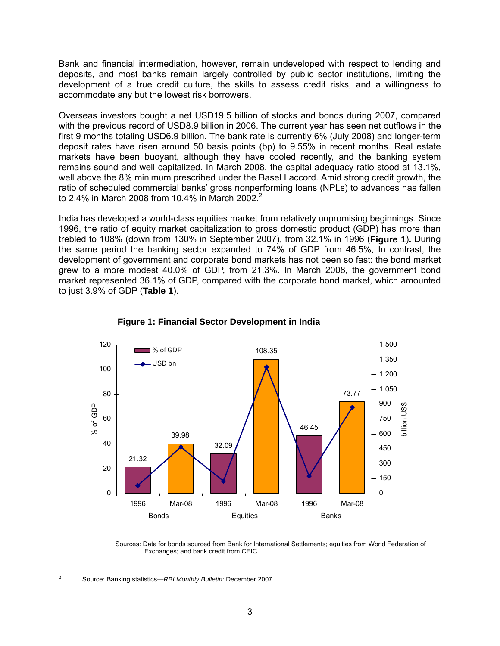Bank and financial intermediation, however, remain undeveloped with respect to lending and deposits, and most banks remain largely controlled by public sector institutions, limiting the development of a true credit culture, the skills to assess credit risks, and a willingness to accommodate any but the lowest risk borrowers.

Overseas investors bought a net USD19.5 billion of stocks and bonds during 2007, compared with the previous record of USD8.9 billion in 2006. The current year has seen net outflows in the first 9 months totaling USD6.9 billion. The bank rate is currently 6% (July 2008) and longer-term deposit rates have risen around 50 basis points (bp) to 9.55% in recent months. Real estate markets have been buoyant, although they have cooled recently, and the banking system remains sound and well capitalized. In March 2008, the capital adequacy ratio stood at 13.1%, well above the 8% minimum prescribed under the Basel I accord. Amid strong credit growth, the ratio of scheduled commercial banks' gross nonperforming loans (NPLs) to advances has fallen to 2.4% in March 2008 from 10.4% in March 2002.<sup>2</sup>

India has developed a world-class equities market from relatively unpromising beginnings. Since 1996, the ratio of equity market capitalization to gross domestic product (GDP) has more than trebled to 108% (down from 130% in September 2007), from 32.1% in 1996 (**Figure 1**)**.** During the same period the banking sector expanded to 74% of GDP from 46.5%**.** In contrast, the development of government and corporate bond markets has not been so fast: the bond market grew to a more modest 40.0% of GDP, from 21.3%. In March 2008, the government bond market represented 36.1% of GDP, compared with the corporate bond market, which amounted to just 3.9% of GDP (**Table 1**).



 **Figure 1: Financial Sector Development in India** 

 Sources: Data for bonds sourced from Bank for International Settlements; equities from World Federation of Exchanges; and bank credit from CEIC.

 $\frac{1}{2}$ 

Source: Banking statistics—*RBI Monthly Bulletin*: December 2007.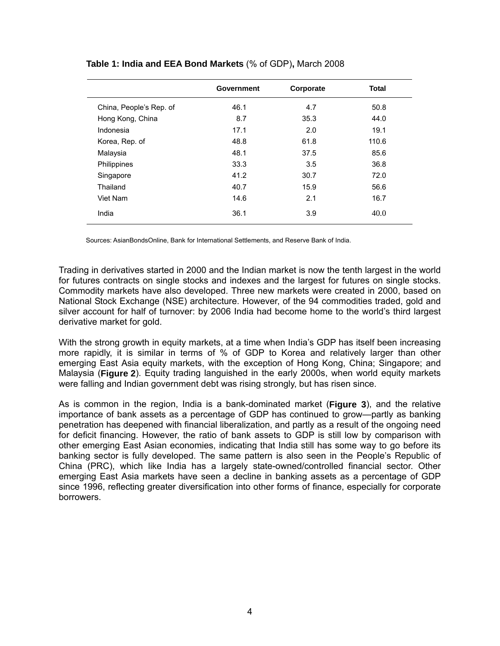|                         | Government | Corporate | Total |
|-------------------------|------------|-----------|-------|
| China, People's Rep. of | 46.1       | 4.7       | 50.8  |
| Hong Kong, China        | 8.7        | 35.3      | 44.0  |
| Indonesia               | 17.1       | 2.0       | 19.1  |
| Korea, Rep. of          | 48.8       | 61.8      | 110.6 |
| Malaysia                | 48.1       | 37.5      | 85.6  |
| Philippines             | 33.3       | 3.5       | 36.8  |
| Singapore               | 41.2       | 30.7      | 72.0  |
| Thailand                | 40.7       | 15.9      | 56.6  |
| Viet Nam                | 14.6       | 2.1       | 16.7  |
| India                   | 36.1       | 3.9       | 40.0  |

#### **Table 1: India and EEA Bond Markets** (% of GDP)**,** March 2008

Sources: AsianBondsOnline, Bank for International Settlements, and Reserve Bank of India.

Trading in derivatives started in 2000 and the Indian market is now the tenth largest in the world for futures contracts on single stocks and indexes and the largest for futures on single stocks. Commodity markets have also developed. Three new markets were created in 2000, based on National Stock Exchange (NSE) architecture. However, of the 94 commodities traded, gold and silver account for half of turnover: by 2006 India had become home to the world's third largest derivative market for gold.

With the strong growth in equity markets, at a time when India's GDP has itself been increasing more rapidly, it is similar in terms of % of GDP to Korea and relatively larger than other emerging East Asia equity markets, with the exception of Hong Kong, China; Singapore; and Malaysia (**Figure 2**). Equity trading languished in the early 2000s, when world equity markets were falling and Indian government debt was rising strongly, but has risen since.

As is common in the region, India is a bank-dominated market (**Figure 3**), and the relative importance of bank assets as a percentage of GDP has continued to grow—partly as banking penetration has deepened with financial liberalization, and partly as a result of the ongoing need for deficit financing. However, the ratio of bank assets to GDP is still low by comparison with other emerging East Asian economies, indicating that India still has some way to go before its banking sector is fully developed. The same pattern is also seen in the People's Republic of China (PRC), which like India has a largely state-owned/controlled financial sector. Other emerging East Asia markets have seen a decline in banking assets as a percentage of GDP since 1996, reflecting greater diversification into other forms of finance, especially for corporate borrowers.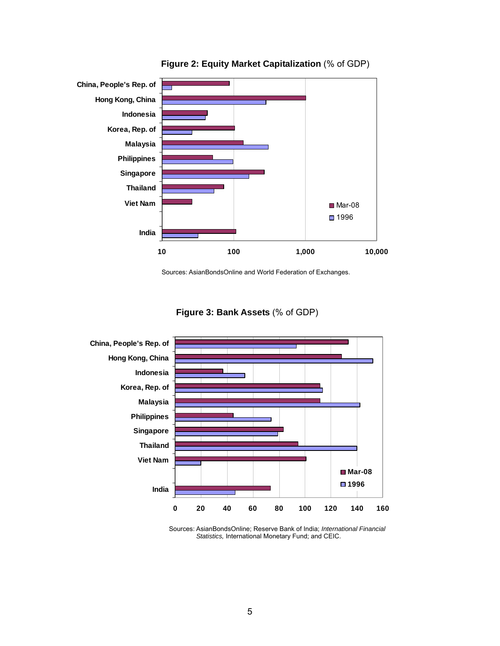

 **Figure 2: Equity Market Capitalization** (% of GDP)

Sources: AsianBondsOnline and World Federation of Exchanges.

 **Figure 3: Bank Assets** (% of GDP)



Sources: AsianBondsOnline; Reserve Bank of India; *International Financial Statistics,* International Monetary Fund; and CEIC.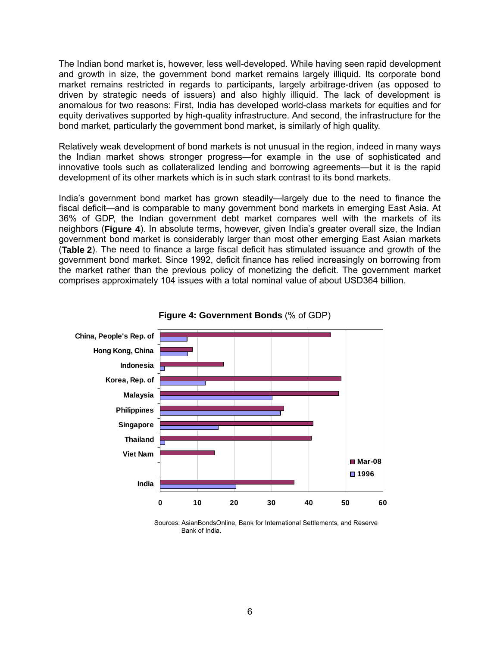The Indian bond market is, however, less well-developed. While having seen rapid development and growth in size, the government bond market remains largely illiquid. Its corporate bond market remains restricted in regards to participants, largely arbitrage-driven (as opposed to driven by strategic needs of issuers) and also highly illiquid. The lack of development is anomalous for two reasons: First, India has developed world-class markets for equities and for equity derivatives supported by high-quality infrastructure. And second, the infrastructure for the bond market, particularly the government bond market, is similarly of high quality.

Relatively weak development of bond markets is not unusual in the region, indeed in many ways the Indian market shows stronger progress—for example in the use of sophisticated and innovative tools such as collateralized lending and borrowing agreements—but it is the rapid development of its other markets which is in such stark contrast to its bond markets.

India's government bond market has grown steadily—largely due to the need to finance the fiscal deficit—and is comparable to many government bond markets in emerging East Asia. At 36% of GDP, the Indian government debt market compares well with the markets of its neighbors (**Figure 4**). In absolute terms, however, given India's greater overall size, the Indian government bond market is considerably larger than most other emerging East Asian markets (**Table 2**). The need to finance a large fiscal deficit has stimulated issuance and growth of the government bond market. Since 1992, deficit finance has relied increasingly on borrowing from the market rather than the previous policy of monetizing the deficit. The government market comprises approximately 104 issues with a total nominal value of about USD364 billion.





Sources: AsianBondsOnline, Bank for International Settlements, and Reserve Bank of India.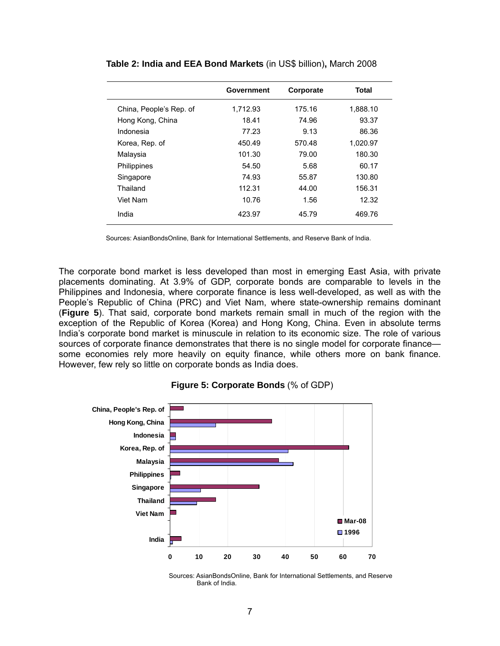|                         | Government | Corporate | Total    |
|-------------------------|------------|-----------|----------|
| China, People's Rep. of | 1,712.93   | 175.16    | 1,888.10 |
| Hong Kong, China        | 18.41      | 74.96     | 93.37    |
| Indonesia               | 77.23      | 9.13      | 86.36    |
| Korea, Rep. of          | 450.49     | 570.48    | 1,020.97 |
| Malaysia                | 101.30     | 79.00     | 180.30   |
| Philippines             | 54.50      | 5.68      | 60.17    |
| Singapore               | 74.93      | 55.87     | 130.80   |
| Thailand                | 112.31     | 44.00     | 156.31   |
| Viet Nam                | 10.76      | 1.56      | 12.32    |
| India                   | 423.97     | 45.79     | 469.76   |

 **Table 2: India and EEA Bond Markets** (in US\$ billion)**,** March 2008

Sources: AsianBondsOnline, Bank for International Settlements, and Reserve Bank of India.

The corporate bond market is less developed than most in emerging East Asia, with private placements dominating. At 3.9% of GDP, corporate bonds are comparable to levels in the Philippines and Indonesia, where corporate finance is less well-developed, as well as with the People's Republic of China (PRC) and Viet Nam, where state-ownership remains dominant (**Figure 5**). That said, corporate bond markets remain small in much of the region with the exception of the Republic of Korea (Korea) and Hong Kong, China. Even in absolute terms India's corporate bond market is minuscule in relation to its economic size. The role of various sources of corporate finance demonstrates that there is no single model for corporate finance some economies rely more heavily on equity finance, while others more on bank finance. However, few rely so little on corporate bonds as India does.



#### **Figure 5: Corporate Bonds** (% of GDP)

Sources: AsianBondsOnline, Bank for International Settlements, and Reserve Bank of India.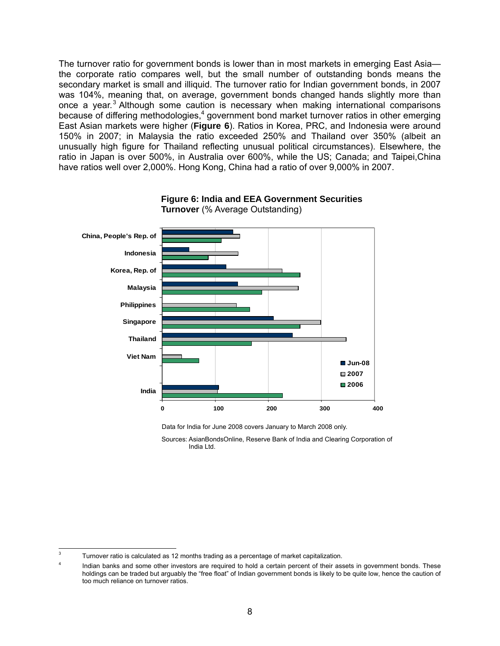The turnover ratio for government bonds is lower than in most markets in emerging East Asia the corporate ratio compares well, but the small number of outstanding bonds means the secondary market is small and illiquid. The turnover ratio for Indian government bonds, in 2007 was 104%, meaning that, on average, government bonds changed hands slightly more than once a year.<sup>3</sup> Although some caution is necessary when making international comparisons because of differing methodologies,<sup>4</sup> government bond market turnover ratios in other emerging East Asian markets were higher (**Figure 6**). Ratios in Korea, PRC, and Indonesia were around 150% in 2007; in Malaysia the ratio exceeded 250% and Thailand over 350% (albeit an unusually high figure for Thailand reflecting unusual political circumstances). Elsewhere, the ratio in Japan is over 500%, in Australia over 600%, while the US; Canada; and Taipei,China have ratios well over 2,000%. Hong Kong, China had a ratio of over 9,000% in 2007.



#### **Figure 6: India and EEA Government Securities Turnover** (% Average Outstanding)

Data for India for June 2008 covers January to March 2008 only.

 Sources: AsianBondsOnline, Reserve Bank of India and Clearing Corporation of India Ltd.

<sup>-&</sup>lt;br>3 Turnover ratio is calculated as 12 months trading as a percentage of market capitalization.

<sup>4</sup> Indian banks and some other investors are required to hold a certain percent of their assets in government bonds. These holdings can be traded but arguably the "free float" of Indian government bonds is likely to be quite low, hence the caution of too much reliance on turnover ratios.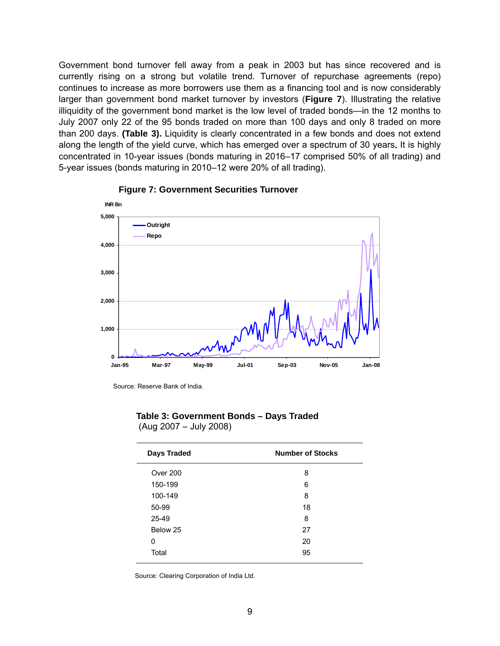Government bond turnover fell away from a peak in 2003 but has since recovered and is currently rising on a strong but volatile trend. Turnover of repurchase agreements (repo) continues to increase as more borrowers use them as a financing tool and is now considerably larger than government bond market turnover by investors (**Figure 7**). Illustrating the relative illiquidity of the government bond market is the low level of traded bonds—in the 12 months to July 2007 only 22 of the 95 bonds traded on more than 100 days and only 8 traded on more than 200 days. **(Table 3).** Liquidity is clearly concentrated in a few bonds and does not extend along the length of the yield curve, which has emerged over a spectrum of 30 years**.** It is highly concentrated in 10-year issues (bonds maturing in 2016–17 comprised 50% of all trading) and 5-year issues (bonds maturing in 2010–12 were 20% of all trading).



 **Figure 7: Government Securities Turnover** 

#### **Table 3: Government Bonds – Days Traded** (Aug 2007 – July 2008)

| <b>Days Traded</b> | <b>Number of Stocks</b> |
|--------------------|-------------------------|
| Over 200           | 8                       |
| 150-199            | 6                       |
| 100-149            | 8                       |
| 50-99              | 18                      |
| 25-49              | 8                       |
| Below 25           | 27                      |
| 0                  | 20                      |
| Total              | 95                      |
|                    |                         |

Source: Clearing Corporation of India Ltd.

Source: Reserve Bank of India.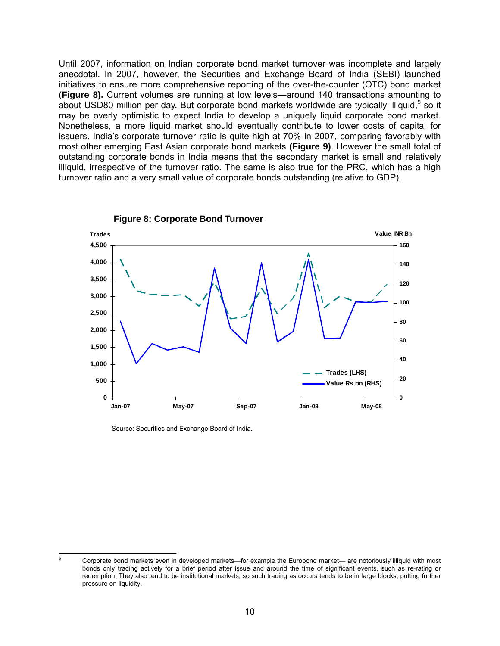Until 2007, information on Indian corporate bond market turnover was incomplete and largely anecdotal. In 2007, however, the Securities and Exchange Board of India (SEBI) launched initiatives to ensure more comprehensive reporting of the over-the-counter (OTC) bond market (**Figure 8).** Current volumes are running at low levels—around 140 transactions amounting to about USD80 million per day. But corporate bond markets worldwide are typically illiquid,<sup>5</sup> so it may be overly optimistic to expect India to develop a uniquely liquid corporate bond market. Nonetheless, a more liquid market should eventually contribute to lower costs of capital for issuers. India's corporate turnover ratio is quite high at 70% in 2007, comparing favorably with most other emerging East Asian corporate bond markets **(Figure 9)**. However the small total of outstanding corporate bonds in India means that the secondary market is small and relatively illiquid, irrespective of the turnover ratio. The same is also true for the PRC, which has a high turnover ratio and a very small value of corporate bonds outstanding (relative to GDP).



Source: Securities and Exchange Board of India.

 $\overline{a}$ 5

Corporate bond markets even in developed markets—for example the Eurobond market— are notoriously illiquid with most bonds only trading actively for a brief period after issue and around the time of significant events, such as re-rating or redemption. They also tend to be institutional markets, so such trading as occurs tends to be in large blocks, putting further pressure on liquidity.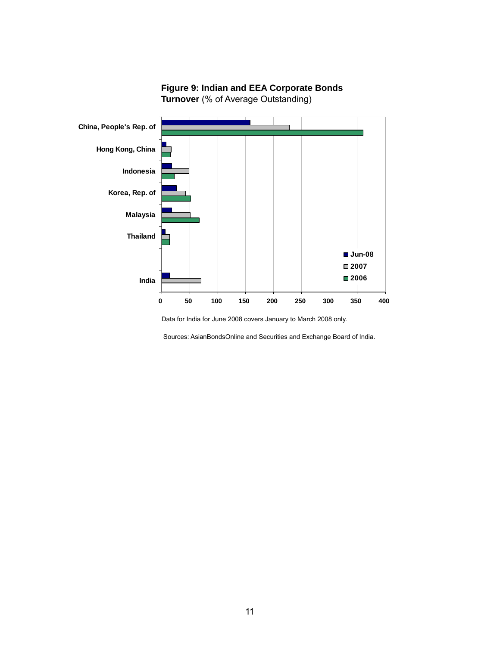

# **Figure 9: Indian and EEA Corporate Bonds Turnover** (% of Average Outstanding)

Data for India for June 2008 covers January to March 2008 only.

Sources: AsianBondsOnline and Securities and Exchange Board of India.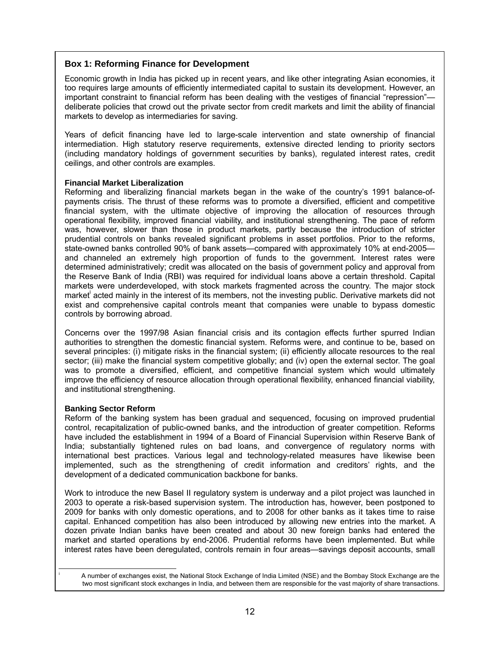#### **Box 1: Reforming Finance for Development**

Economic growth in India has picked up in recent years, and like other integrating Asian economies, it too requires large amounts of efficiently intermediated capital to sustain its development. However, an important constraint to financial reform has been dealing with the vestiges of financial "repression" deliberate policies that crowd out the private sector from credit markets and limit the ability of financial markets to develop as intermediaries for saving.

Years of deficit financing have led to large-scale intervention and state ownership of financial intermediation. High statutory reserve requirements, extensive directed lending to priority sectors (including mandatory holdings of government securities by banks), regulated interest rates, credit ceilings, and other controls are examples.

#### **Financial Market Liberalization**

Reforming and liberalizing financial markets began in the wake of the country's 1991 balance-ofpayments crisis. The thrust of these reforms was to promote a diversified, efficient and competitive financial system, with the ultimate objective of improving the allocation of resources through operational flexibility, improved financial viability, and institutional strengthening. The pace of reform was, however, slower than those in product markets, partly because the introduction of stricter prudential controls on banks revealed significant problems in asset portfolios. Prior to the reforms, state-owned banks controlled 90% of bank assets—compared with approximately 10% at end-2005 and channeled an extremely high proportion of funds to the government. Interest rates were determined administratively; credit was allocated on the basis of government policy and approval from the Reserve Bank of India (RBI) was required for individual loans above a certain threshold. Capital markets were underdeveloped, with stock markets fragmented across the country. The major stock market acted mainly in the interest of its members, not the investing public. Derivative markets did not exist and comprehensive capital controls meant that companies were unable to bypass domestic controls by borrowing abroad.

Concerns over the 1997/98 Asian financial crisis and its contagion effects further spurred Indian authorities to strengthen the domestic financial system. Reforms were, and continue to be, based on several principles: (i) mitigate risks in the financial system; (ii) efficiently allocate resources to the real sector; (iii) make the financial system competitive globally; and (iv) open the external sector. The goal was to promote a diversified, efficient, and competitive financial system which would ultimately improve the efficiency of resource allocation through operational flexibility, enhanced financial viability, and institutional strengthening.

#### **Banking Sector Reform**

 $\overline{a}$ i

Reform of the banking system has been gradual and sequenced, focusing on improved prudential control, recapitalization of public-owned banks, and the introduction of greater competition. Reforms have included the establishment in 1994 of a Board of Financial Supervision within Reserve Bank of India; substantially tightened rules on bad loans, and convergence of regulatory norms with international best practices. Various legal and technology-related measures have likewise been implemented, such as the strengthening of credit information and creditors' rights, and the development of a dedicated communication backbone for banks.

Work to introduce the new Basel II regulatory system is underway and a pilot project was launched in 2003 to operate a risk-based supervision system. The introduction has, however, been postponed to 2009 for banks with only domestic operations, and to 2008 for other banks as it takes time to raise capital. Enhanced competition has also been introduced by allowing new entries into the market. A dozen private Indian banks have been created and about 30 new foreign banks had entered the market and started operations by end-2006. Prudential reforms have been implemented. But while interest rates have been deregulated, controls remain in four areas—savings deposit accounts, small

A number of exchanges exist, the National Stock Exchange of India Limited (NSE) and the Bombay Stock Exchange are the two most significant stock exchanges in India, and between them are responsible for the vast majority of share transactions.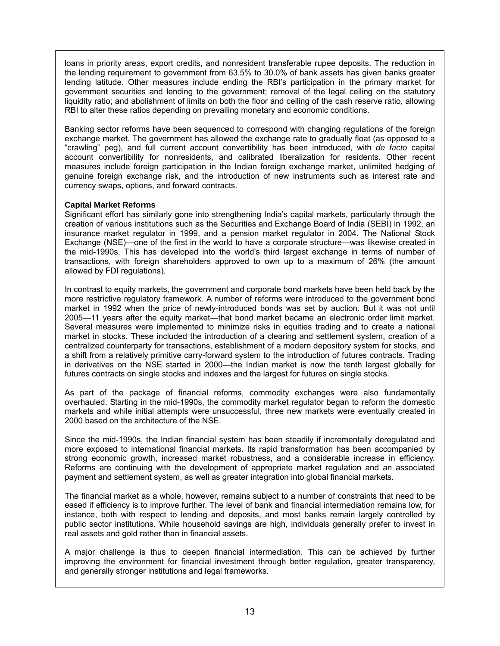loans in priority areas, export credits, and nonresident transferable rupee deposits. The reduction in the lending requirement to government from 63.5% to 30.0% of bank assets has given banks greater lending latitude. Other measures include ending the RBI's participation in the primary market for government securities and lending to the government; removal of the legal ceiling on the statutory liquidity ratio; and abolishment of limits on both the floor and ceiling of the cash reserve ratio, allowing RBI to alter these ratios depending on prevailing monetary and economic conditions.

Banking sector reforms have been sequenced to correspond with changing regulations of the foreign exchange market. The government has allowed the exchange rate to gradually float (as opposed to a "crawling" peg), and full current account convertibility has been introduced, with *de facto* capital account convertibility for nonresidents, and calibrated liberalization for residents. Other recent measures include foreign participation in the Indian foreign exchange market, unlimited hedging of genuine foreign exchange risk, and the introduction of new instruments such as interest rate and currency swaps, options, and forward contracts.

#### **Capital Market Reforms**

Significant effort has similarly gone into strengthening India's capital markets, particularly through the creation of various institutions such as the Securities and Exchange Board of India (SEBI) in 1992, an insurance market regulator in 1999, and a pension market regulator in 2004. The National Stock Exchange (NSE)—one of the first in the world to have a corporate structure—was likewise created in the mid-1990s. This has developed into the world's third largest exchange in terms of number of transactions, with foreign shareholders approved to own up to a maximum of 26% (the amount allowed by FDI regulations).

In contrast to equity markets, the government and corporate bond markets have been held back by the more restrictive regulatory framework. A number of reforms were introduced to the government bond market in 1992 when the price of newly-introduced bonds was set by auction. But it was not until 2005—11 years after the equity market—that bond market became an electronic order limit market. Several measures were implemented to minimize risks in equities trading and to create a national market in stocks. These included the introduction of a clearing and settlement system, creation of a centralized counterparty for transactions, establishment of a modern depository system for stocks, and a shift from a relatively primitive carry-forward system to the introduction of futures contracts. Trading in derivatives on the NSE started in 2000—the Indian market is now the tenth largest globally for futures contracts on single stocks and indexes and the largest for futures on single stocks.

As part of the package of financial reforms, commodity exchanges were also fundamentally overhauled. Starting in the mid-1990s, the commodity market regulator began to reform the domestic markets and while initial attempts were unsuccessful, three new markets were eventually created in 2000 based on the architecture of the NSE.

Since the mid-1990s, the Indian financial system has been steadily if incrementally deregulated and more exposed to international financial markets. Its rapid transformation has been accompanied by strong economic growth, increased market robustness, and a considerable increase in efficiency. Reforms are continuing with the development of appropriate market regulation and an associated payment and settlement system, as well as greater integration into global financial markets.

The financial market as a whole, however, remains subject to a number of constraints that need to be eased if efficiency is to improve further. The level of bank and financial intermediation remains low, for instance, both with respect to lending and deposits, and most banks remain largely controlled by public sector institutions. While household savings are high, individuals generally prefer to invest in real assets and gold rather than in financial assets.

A major challenge is thus to deepen financial intermediation. This can be achieved by further improving the environment for financial investment through better regulation, greater transparency, and generally stronger institutions and legal frameworks.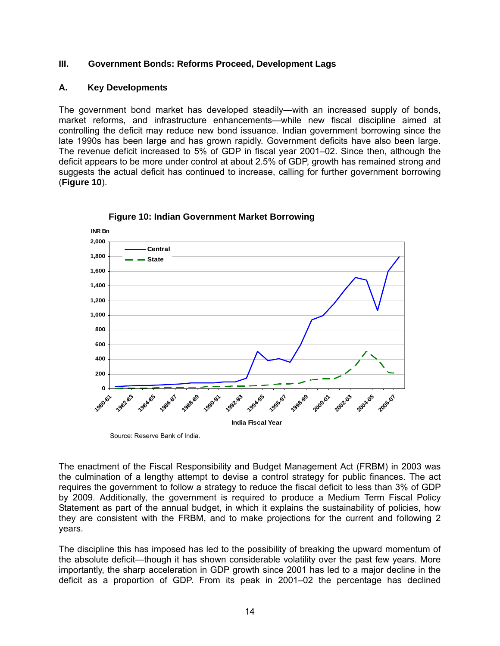#### **III. Government Bonds: Reforms Proceed, Development Lags**

#### **A. Key Developments**

The government bond market has developed steadily—with an increased supply of bonds, market reforms, and infrastructure enhancements—while new fiscal discipline aimed at controlling the deficit may reduce new bond issuance. Indian government borrowing since the late 1990s has been large and has grown rapidly. Government deficits have also been large. The revenue deficit increased to 5% of GDP in fiscal year 2001–02. Since then, although the deficit appears to be more under control at about 2.5% of GDP, growth has remained strong and suggests the actual deficit has continued to increase, calling for further government borrowing (**Figure 10**).



 **Figure 10: Indian Government Market Borrowing** 

Source: Reserve Bank of India.

The enactment of the Fiscal Responsibility and Budget Management Act (FRBM) in 2003 was the culmination of a lengthy attempt to devise a control strategy for public finances. The act requires the government to follow a strategy to reduce the fiscal deficit to less than 3% of GDP by 2009. Additionally, the government is required to produce a Medium Term Fiscal Policy Statement as part of the annual budget, in which it explains the sustainability of policies, how they are consistent with the FRBM, and to make projections for the current and following 2 years.

The discipline this has imposed has led to the possibility of breaking the upward momentum of the absolute deficit—though it has shown considerable volatility over the past few years. More importantly, the sharp acceleration in GDP growth since 2001 has led to a major decline in the deficit as a proportion of GDP. From its peak in 2001–02 the percentage has declined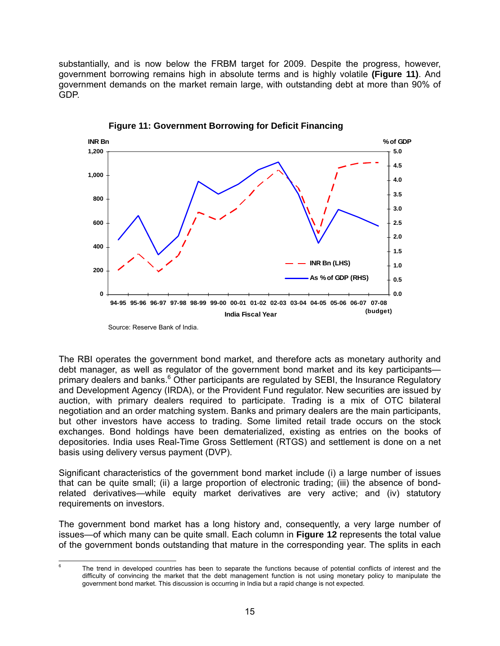substantially, and is now below the FRBM target for 2009. Despite the progress, however, government borrowing remains high in absolute terms and is highly volatile **(Figure 11)**. And government demands on the market remain large, with outstanding debt at more than 90% of GDP.



 **Figure 11: Government Borrowing for Deficit Financing** 

Source: Reserve Bank of India.

The RBI operates the government bond market, and therefore acts as monetary authority and debt manager, as well as regulator of the government bond market and its key participants primary dealers and banks.<sup>6</sup> Other participants are regulated by SEBI, the Insurance Regulatory and Development Agency (IRDA), or the Provident Fund regulator. New securities are issued by auction, with primary dealers required to participate. Trading is a mix of OTC bilateral negotiation and an order matching system. Banks and primary dealers are the main participants, but other investors have access to trading. Some limited retail trade occurs on the stock exchanges. Bond holdings have been dematerialized, existing as entries on the books of depositories. India uses Real-Time Gross Settlement (RTGS) and settlement is done on a net basis using delivery versus payment (DVP).

Significant characteristics of the government bond market include (i) a large number of issues that can be quite small; (ii) a large proportion of electronic trading; (iii) the absence of bondrelated derivatives—while equity market derivatives are very active; and (iv) statutory requirements on investors.

The government bond market has a long history and, consequently, a very large number of issues—of which many can be quite small. Each column in **Figure 12** represents the total value of the government bonds outstanding that mature in the corresponding year. The splits in each

 $\overline{a}$ 6 The trend in developed countries has been to separate the functions because of potential conflicts of interest and the difficulty of convincing the market that the debt management function is not using monetary policy to manipulate the government bond market. This discussion is occurring in India but a rapid change is not expected.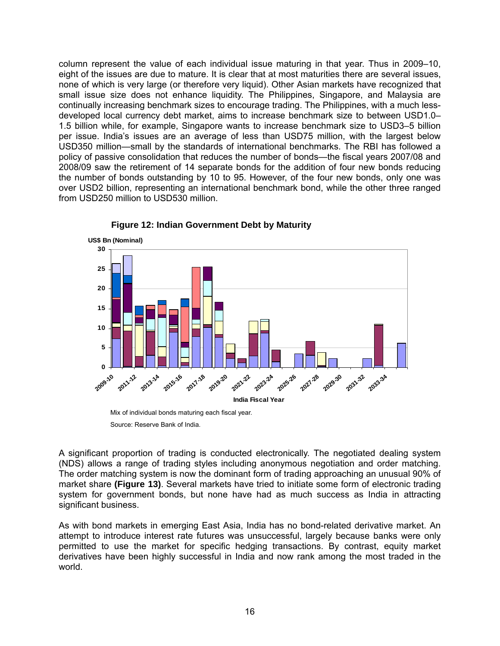column represent the value of each individual issue maturing in that year. Thus in 2009–10, eight of the issues are due to mature. It is clear that at most maturities there are several issues, none of which is very large (or therefore very liquid). Other Asian markets have recognized that small issue size does not enhance liquidity. The Philippines, Singapore, and Malaysia are continually increasing benchmark sizes to encourage trading. The Philippines, with a much lessdeveloped local currency debt market, aims to increase benchmark size to between USD1.0– 1.5 billion while, for example, Singapore wants to increase benchmark size to USD3–5 billion per issue. India's issues are an average of less than USD75 million, with the largest below USD350 million—small by the standards of international benchmarks. The RBI has followed a policy of passive consolidation that reduces the number of bonds—the fiscal years 2007/08 and 2008/09 saw the retirement of 14 separate bonds for the addition of four new bonds reducing the number of bonds outstanding by 10 to 95. However, of the four new bonds, only one was over USD2 billion, representing an international benchmark bond, while the other three ranged from USD250 million to USD530 million.



**Figure 12: Indian Government Debt by Maturity** 

Mix of individual bonds maturing each fiscal year. Source: Reserve Bank of India.

A significant proportion of trading is conducted electronically. The negotiated dealing system (NDS) allows a range of trading styles including anonymous negotiation and order matching. The order matching system is now the dominant form of trading approaching an unusual 90% of market share **(Figure 13)**. Several markets have tried to initiate some form of electronic trading system for government bonds, but none have had as much success as India in attracting significant business.

As with bond markets in emerging East Asia, India has no bond-related derivative market. An attempt to introduce interest rate futures was unsuccessful, largely because banks were only permitted to use the market for specific hedging transactions. By contrast, equity market derivatives have been highly successful in India and now rank among the most traded in the world.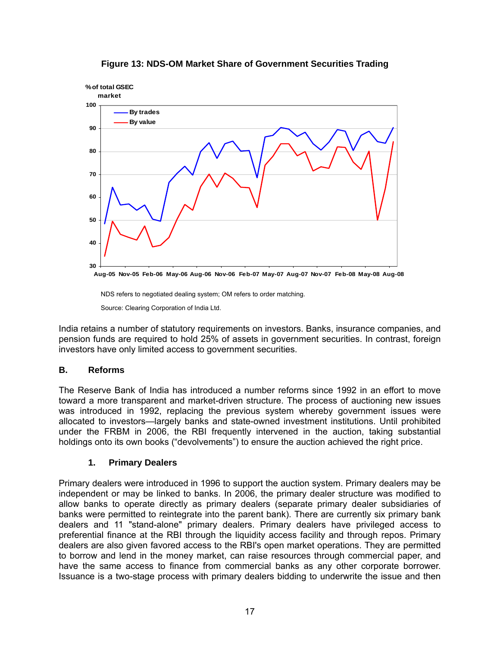

 **Figure 13: NDS-OM Market Share of Government Securities Trading** 

Source: Clearing Corporation of India Ltd.

India retains a number of statutory requirements on investors. Banks, insurance companies, and pension funds are required to hold 25% of assets in government securities. In contrast, foreign investors have only limited access to government securities.

# **B. Reforms**

The Reserve Bank of India has introduced a number reforms since 1992 in an effort to move toward a more transparent and market-driven structure. The process of auctioning new issues was introduced in 1992, replacing the previous system whereby government issues were allocated to investors—largely banks and state-owned investment institutions. Until prohibited under the FRBM in 2006, the RBI frequently intervened in the auction, taking substantial holdings onto its own books ("devolvements") to ensure the auction achieved the right price.

#### **1. Primary Dealers**

Primary dealers were introduced in 1996 to support the auction system. Primary dealers may be independent or may be linked to banks. In 2006, the primary dealer structure was modified to allow banks to operate directly as primary dealers (separate primary dealer subsidiaries of banks were permitted to reintegrate into the parent bank). There are currently six primary bank dealers and 11 "stand-alone" primary dealers. Primary dealers have privileged access to preferential finance at the RBI through the liquidity access facility and through repos. Primary dealers are also given favored access to the RBI's open market operations. They are permitted to borrow and lend in the money market, can raise resources through commercial paper, and have the same access to finance from commercial banks as any other corporate borrower. Issuance is a two-stage process with primary dealers bidding to underwrite the issue and then

NDS refers to negotiated dealing system; OM refers to order matching.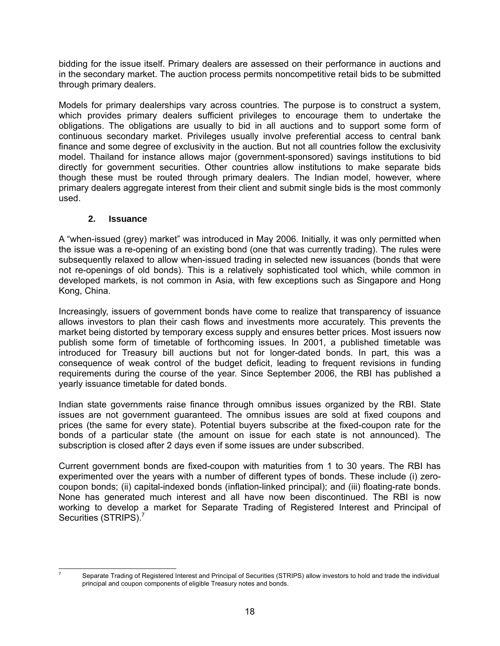bidding for the issue itself. Primary dealers are assessed on their performance in auctions and in the secondary market. The auction process permits noncompetitive retail bids to be submitted through primary dealers.

Models for primary dealerships vary across countries. The purpose is to construct a system, which provides primary dealers sufficient privileges to encourage them to undertake the obligations. The obligations are usually to bid in all auctions and to support some form of continuous secondary market. Privileges usually involve preferential access to central bank finance and some degree of exclusivity in the auction. But not all countries follow the exclusivity model. Thailand for instance allows major (government-sponsored) savings institutions to bid directly for government securities. Other countries allow institutions to make separate bids though these must be routed through primary dealers. The Indian model, however, where primary dealers aggregate interest from their client and submit single bids is the most commonly used.

# **2. Issuance**

A "when-issued (grey) market" was introduced in May 2006. Initially, it was only permitted when the issue was a re-opening of an existing bond (one that was currently trading). The rules were subsequently relaxed to allow when-issued trading in selected new issuances (bonds that were not re-openings of old bonds). This is a relatively sophisticated tool which, while common in developed markets, is not common in Asia, with few exceptions such as Singapore and Hong Kong, China.

Increasingly, issuers of government bonds have come to realize that transparency of issuance allows investors to plan their cash flows and investments more accurately. This prevents the market being distorted by temporary excess supply and ensures better prices. Most issuers now publish some form of timetable of forthcoming issues. In 2001, a published timetable was introduced for Treasury bill auctions but not for longer-dated bonds. In part, this was a consequence of weak control of the budget deficit, leading to frequent revisions in funding requirements during the course of the year. Since September 2006, the RBI has published a yearly issuance timetable for dated bonds.

Indian state governments raise finance through omnibus issues organized by the RBI. State issues are not government guaranteed. The omnibus issues are sold at fixed coupons and prices (the same for every state). Potential buyers subscribe at the fixed-coupon rate for the bonds of a particular state (the amount on issue for each state is not announced). The subscription is closed after 2 days even if some issues are under subscribed.

Current government bonds are fixed-coupon with maturities from 1 to 30 years. The RBI has experimented over the years with a number of different types of bonds. These include (i) zerocoupon bonds; (ii) capital-indexed bonds (inflation-linked principal); and (iii) floating-rate bonds. None has generated much interest and all have now been discontinued. The RBI is now working to develop a market for Separate Trading of Registered Interest and Principal of Securities (STRIPS).<sup>7</sup>

 $\overline{a}$ 7

Separate Trading of Registered Interest and Principal of Securities (STRIPS) allow investors to hold and trade the individual principal and coupon components of eligible Treasury notes and bonds.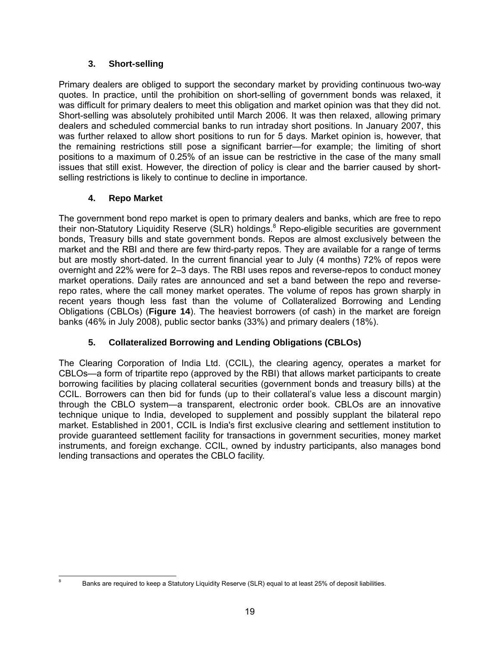# **3. Short-selling**

Primary dealers are obliged to support the secondary market by providing continuous two-way quotes. In practice, until the prohibition on short-selling of government bonds was relaxed, it was difficult for primary dealers to meet this obligation and market opinion was that they did not. Short-selling was absolutely prohibited until March 2006. It was then relaxed, allowing primary dealers and scheduled commercial banks to run intraday short positions. In January 2007, this was further relaxed to allow short positions to run for 5 days. Market opinion is, however, that the remaining restrictions still pose a significant barrier—for example; the limiting of short positions to a maximum of 0.25% of an issue can be restrictive in the case of the many small issues that still exist. However, the direction of policy is clear and the barrier caused by shortselling restrictions is likely to continue to decline in importance.

# **4. Repo Market**

The government bond repo market is open to primary dealers and banks, which are free to repo their non-Statutory Liquidity Reserve (SLR) holdings.<sup>8</sup> Repo-eligible securities are government bonds, Treasury bills and state government bonds. Repos are almost exclusively between the market and the RBI and there are few third-party repos. They are available for a range of terms but are mostly short-dated. In the current financial year to July (4 months) 72% of repos were overnight and 22% were for 2–3 days. The RBI uses repos and reverse-repos to conduct money market operations. Daily rates are announced and set a band between the repo and reverserepo rates, where the call money market operates. The volume of repos has grown sharply in recent years though less fast than the volume of Collateralized Borrowing and Lending Obligations (CBLOs) (**Figure 14**). The heaviest borrowers (of cash) in the market are foreign banks (46% in July 2008), public sector banks (33%) and primary dealers (18%).

# **5. Collateralized Borrowing and Lending Obligations (CBLOs)**

The Clearing Corporation of India Ltd. (CCIL), the clearing agency, operates a market for CBLOs—a form of tripartite repo (approved by the RBI) that allows market participants to create borrowing facilities by placing collateral securities (government bonds and treasury bills) at the CCIL. Borrowers can then bid for funds (up to their collateral's value less a discount margin) through the CBLO system—a transparent, electronic order book. CBLOs are an innovative technique unique to India, developed to supplement and possibly supplant the bilateral repo market. Established in 2001, CCIL is India's first exclusive clearing and settlement institution to provide guaranteed settlement facility for transactions in government securities, money market instruments, and foreign exchange. CCIL, owned by industry participants, also manages bond lending transactions and operates the CBLO facility.

 $\overline{a}$ 8 Banks are required to keep a Statutory Liquidity Reserve (SLR) equal to at least 25% of deposit liabilities.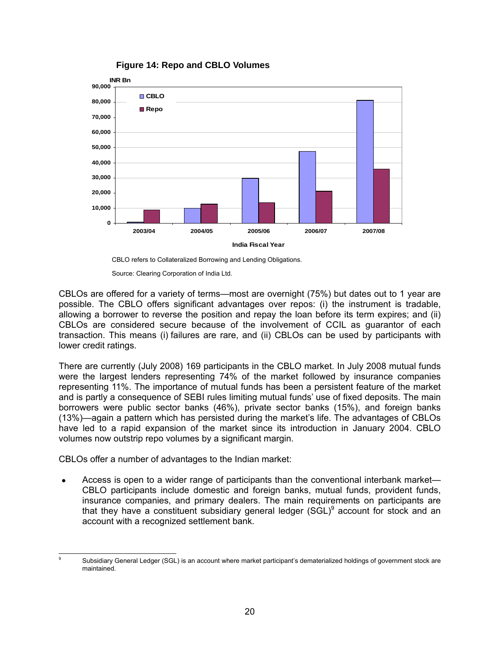

#### **Figure 14: Repo and CBLO Volumes**

CBLO refers to Collateralized Borrowing and Lending Obligations.

Source: Clearing Corporation of India Ltd.

CBLOs are offered for a variety of terms—most are overnight (75%) but dates out to 1 year are possible. The CBLO offers significant advantages over repos: (i) the instrument is tradable, allowing a borrower to reverse the position and repay the loan before its term expires; and (ii) CBLOs are considered secure because of the involvement of CCIL as guarantor of each transaction. This means (i) failures are rare, and (ii) CBLOs can be used by participants with lower credit ratings.

There are currently (July 2008) 169 participants in the CBLO market. In July 2008 mutual funds were the largest lenders representing 74% of the market followed by insurance companies representing 11%. The importance of mutual funds has been a persistent feature of the market and is partly a consequence of SEBI rules limiting mutual funds' use of fixed deposits. The main borrowers were public sector banks (46%), private sector banks (15%), and foreign banks (13%)—again a pattern which has persisted during the market's life. The advantages of CBLOs have led to a rapid expansion of the market since its introduction in January 2004. CBLO volumes now outstrip repo volumes by a significant margin.

CBLOs offer a number of advantages to the Indian market:

• Access is open to a wider range of participants than the conventional interbank market— CBLO participants include domestic and foreign banks, mutual funds, provident funds, insurance companies, and primary dealers. The main requirements on participants are that they have a constituent subsidiary general ledger  $(SGL)^9$  account for stock and an account with a recognized settlement bank.

 $\overline{a}$ 9 Subsidiary General Ledger (SGL) is an account where market participant's dematerialized holdings of government stock are maintained.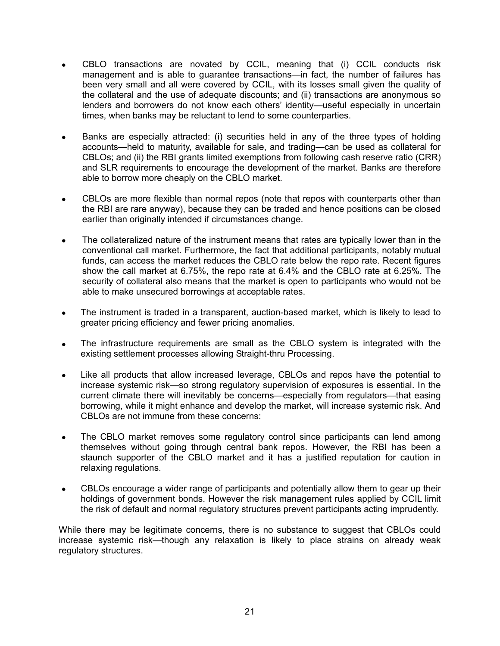- CBLO transactions are novated by CCIL, meaning that (i) CCIL conducts risk management and is able to guarantee transactions—in fact, the number of failures has been very small and all were covered by CCIL, with its losses small given the quality of the collateral and the use of adequate discounts; and (ii) transactions are anonymous so lenders and borrowers do not know each others' identity—useful especially in uncertain times, when banks may be reluctant to lend to some counterparties.
- Banks are especially attracted: (i) securities held in any of the three types of holding accounts—held to maturity, available for sale, and trading—can be used as collateral for CBLOs; and (ii) the RBI grants limited exemptions from following cash reserve ratio (CRR) and SLR requirements to encourage the development of the market. Banks are therefore able to borrow more cheaply on the CBLO market.
- CBLOs are more flexible than normal repos (note that repos with counterparts other than the RBI are rare anyway), because they can be traded and hence positions can be closed earlier than originally intended if circumstances change.
- The collateralized nature of the instrument means that rates are typically lower than in the conventional call market. Furthermore, the fact that additional participants, notably mutual funds, can access the market reduces the CBLO rate below the repo rate. Recent figures show the call market at 6.75%, the repo rate at 6.4% and the CBLO rate at 6.25%. The security of collateral also means that the market is open to participants who would not be able to make unsecured borrowings at acceptable rates.
- The instrument is traded in a transparent, auction-based market, which is likely to lead to greater pricing efficiency and fewer pricing anomalies.
- The infrastructure requirements are small as the CBLO system is integrated with the existing settlement processes allowing Straight-thru Processing.
- Like all products that allow increased leverage, CBLOs and repos have the potential to increase systemic risk—so strong regulatory supervision of exposures is essential. In the current climate there will inevitably be concerns—especially from regulators—that easing borrowing, while it might enhance and develop the market, will increase systemic risk. And CBLOs are not immune from these concerns:
- The CBLO market removes some regulatory control since participants can lend among themselves without going through central bank repos. However, the RBI has been a staunch supporter of the CBLO market and it has a justified reputation for caution in relaxing regulations.
- CBLOs encourage a wider range of participants and potentially allow them to gear up their holdings of government bonds. However the risk management rules applied by CCIL limit the risk of default and normal regulatory structures prevent participants acting imprudently.

While there may be legitimate concerns, there is no substance to suggest that CBLOs could increase systemic risk—though any relaxation is likely to place strains on already weak regulatory structures.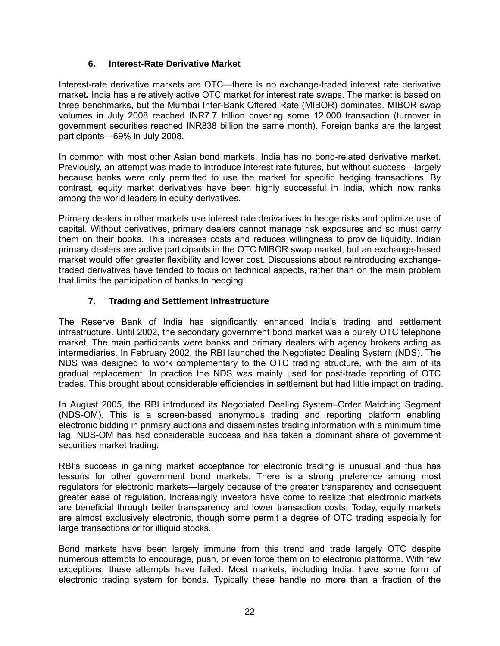### **6. Interest-Rate Derivative Market**

Interest-rate derivative markets are OTC—there is no exchange-traded interest rate derivative market*.* India has a relatively active OTC market for interest rate swaps. The market is based on three benchmarks, but the Mumbai Inter-Bank Offered Rate (MIBOR) dominates. MIBOR swap volumes in July 2008 reached INR7.7 trillion covering some 12,000 transaction (turnover in government securities reached INR838 billion the same month). Foreign banks are the largest participants—69% in July 2008.

In common with most other Asian bond markets, India has no bond-related derivative market. Previously, an attempt was made to introduce interest rate futures, but without success—largely because banks were only permitted to use the market for specific hedging transactions. By contrast, equity market derivatives have been highly successful in India, which now ranks among the world leaders in equity derivatives.

Primary dealers in other markets use interest rate derivatives to hedge risks and optimize use of capital. Without derivatives, primary dealers cannot manage risk exposures and so must carry them on their books. This increases costs and reduces willingness to provide liquidity. Indian primary dealers are active participants in the OTC MIBOR swap market, but an exchange-based market would offer greater flexibility and lower cost. Discussions about reintroducing exchangetraded derivatives have tended to focus on technical aspects, rather than on the main problem that limits the participation of banks to hedging.

# **7. Trading and Settlement Infrastructure**

The Reserve Bank of India has significantly enhanced India's trading and settlement infrastructure. Until 2002, the secondary government bond market was a purely OTC telephone market. The main participants were banks and primary dealers with agency brokers acting as intermediaries. In February 2002, the RBI launched the Negotiated Dealing System (NDS). The NDS was designed to work complementary to the OTC trading structure, with the aim of its gradual replacement. In practice the NDS was mainly used for post-trade reporting of OTC trades. This brought about considerable efficiencies in settlement but had little impact on trading.

In August 2005, the RBI introduced its Negotiated Dealing System–Order Matching Segment (NDS-OM). This is a screen-based anonymous trading and reporting platform enabling electronic bidding in primary auctions and disseminates trading information with a minimum time lag. NDS-OM has had considerable success and has taken a dominant share of government securities market trading.

RBI's success in gaining market acceptance for electronic trading is unusual and thus has lessons for other government bond markets. There is a strong preference among most regulators for electronic markets—largely because of the greater transparency and consequent greater ease of regulation. Increasingly investors have come to realize that electronic markets are beneficial through better transparency and lower transaction costs. Today, equity markets are almost exclusively electronic, though some permit a degree of OTC trading especially for large transactions or for illiquid stocks.

Bond markets have been largely immune from this trend and trade largely OTC despite numerous attempts to encourage, push, or even force them on to electronic platforms. With few exceptions, these attempts have failed. Most markets, including India, have some form of electronic trading system for bonds. Typically these handle no more than a fraction of the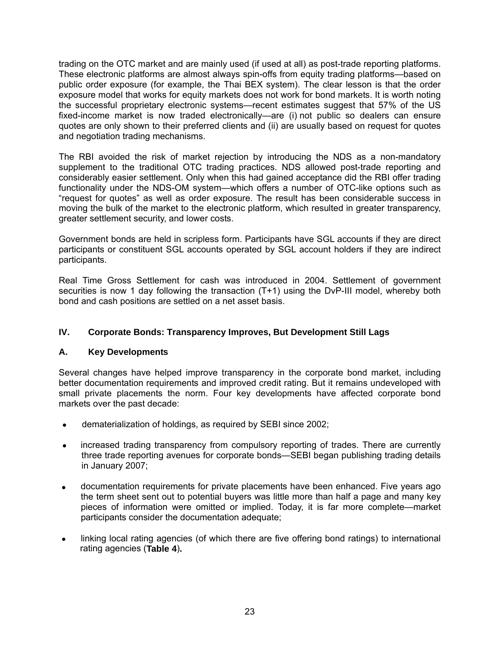trading on the OTC market and are mainly used (if used at all) as post-trade reporting platforms. These electronic platforms are almost always spin-offs from equity trading platforms—based on public order exposure (for example, the Thai BEX system). The clear lesson is that the order exposure model that works for equity markets does not work for bond markets. It is worth noting the successful proprietary electronic systems—recent estimates suggest that 57% of the US fixed-income market is now traded electronically—are (i) not public so dealers can ensure quotes are only shown to their preferred clients and (ii) are usually based on request for quotes and negotiation trading mechanisms.

The RBI avoided the risk of market rejection by introducing the NDS as a non-mandatory supplement to the traditional OTC trading practices. NDS allowed post-trade reporting and considerably easier settlement. Only when this had gained acceptance did the RBI offer trading functionality under the NDS-OM system—which offers a number of OTC-like options such as "request for quotes" as well as order exposure. The result has been considerable success in moving the bulk of the market to the electronic platform, which resulted in greater transparency, greater settlement security, and lower costs.

Government bonds are held in scripless form. Participants have SGL accounts if they are direct participants or constituent SGL accounts operated by SGL account holders if they are indirect participants.

Real Time Gross Settlement for cash was introduced in 2004. Settlement of government securities is now 1 day following the transaction (T+1) using the DvP-III model, whereby both bond and cash positions are settled on a net asset basis.

# **IV. Corporate Bonds: Transparency Improves, But Development Still Lags**

#### **A. Key Developments**

Several changes have helped improve transparency in the corporate bond market, including better documentation requirements and improved credit rating. But it remains undeveloped with small private placements the norm. Four key developments have affected corporate bond markets over the past decade:

- dematerialization of holdings, as required by SEBI since 2002;
- increased trading transparency from compulsory reporting of trades. There are currently three trade reporting avenues for corporate bonds—SEBI began publishing trading details in January 2007;
- documentation requirements for private placements have been enhanced. Five years ago the term sheet sent out to potential buyers was little more than half a page and many key pieces of information were omitted or implied. Today, it is far more complete—market participants consider the documentation adequate;
- linking local rating agencies (of which there are five offering bond ratings) to international rating agencies (**Table 4**)**.**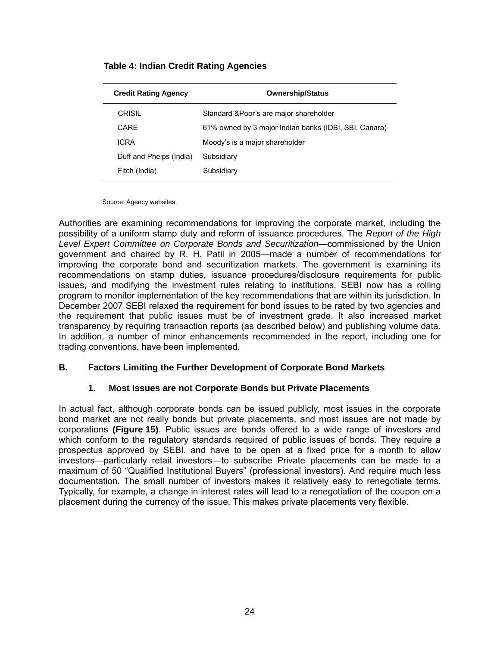| <b>Credit Rating Agency</b> | <b>Ownership/Status</b>                               |
|-----------------------------|-------------------------------------------------------|
| CRISIL                      | Standard & Poor's are major shareholder               |
| CARF.                       | 61% owned by 3 major Indian banks (IDBI, SBI, Canara) |
| ICRA                        | Moody's is a major shareholder                        |
| Duff and Phelps (India)     | Subsidiary                                            |
| Fitch (India)               | Subsidiary                                            |

#### **Table 4: Indian Credit Rating Agencies**

Source: Agency websites.

Authorities are examining recommendations for improving the corporate market, including the possibility of a uniform stamp duty and reform of issuance procedures. The *Report of the High Level Expert Committee on Corporate Bonds and Securitization*—commissioned by the Union government and chaired by R. H. Patil in 2005—made a number of recommendations for improving the corporate bond and securitization markets. The government is examining its recommendations on stamp duties, issuance procedures/disclosure requirements for public issues, and modifying the investment rules relating to institutions. SEBI now has a rolling program to monitor implementation of the key recommendations that are within its jurisdiction. In December 2007 SEBI relaxed the requirement for bond issues to be rated by two agencies and the requirement that public issues must be of investment grade. It also increased market transparency by requiring transaction reports (as described below) and publishing volume data. In addition, a number of minor enhancements recommended in the report, including one for trading conventions, have been implemented.

# **B. Factors Limiting the Further Development of Corporate Bond Markets**

# **1. Most Issues are not Corporate Bonds but Private Placements**

In actual fact, although corporate bonds can be issued publicly, most issues in the corporate bond market are not really bonds but private placements, and most issues are not made by corporations **(Figure 15)**. Public issues are bonds offered to a wide range of investors and which conform to the regulatory standards required of public issues of bonds. They require a prospectus approved by SEBI, and have to be open at a fixed price for a month to allow investors—particularly retail investors—to subscribe Private placements can be made to a maximum of 50 "Qualified Institutional Buyers" (professional investors). And require much less documentation. The small number of investors makes it relatively easy to renegotiate terms. Typically, for example, a change in interest rates will lead to a renegotiation of the coupon on a placement during the currency of the issue. This makes private placements very flexible.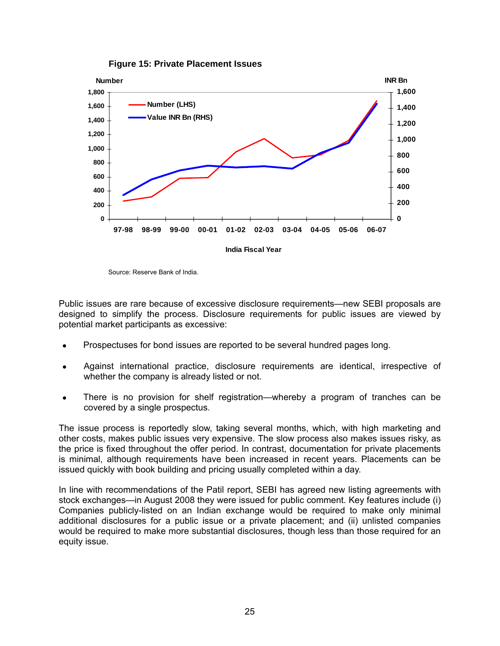

 **Figure 15: Private Placement Issues** 

Source: Reserve Bank of India.

Public issues are rare because of excessive disclosure requirements—new SEBI proposals are designed to simplify the process. Disclosure requirements for public issues are viewed by potential market participants as excessive:

- Prospectuses for bond issues are reported to be several hundred pages long.
- Against international practice, disclosure requirements are identical, irrespective of whether the company is already listed or not.
- There is no provision for shelf registration—whereby a program of tranches can be covered by a single prospectus.

The issue process is reportedly slow, taking several months, which, with high marketing and other costs, makes public issues very expensive. The slow process also makes issues risky, as the price is fixed throughout the offer period. In contrast, documentation for private placements is minimal, although requirements have been increased in recent years. Placements can be issued quickly with book building and pricing usually completed within a day.

In line with recommendations of the Patil report, SEBI has agreed new listing agreements with stock exchanges—in August 2008 they were issued for public comment. Key features include (i) Companies publicly-listed on an Indian exchange would be required to make only minimal additional disclosures for a public issue or a private placement; and (ii) unlisted companies would be required to make more substantial disclosures, though less than those required for an equity issue.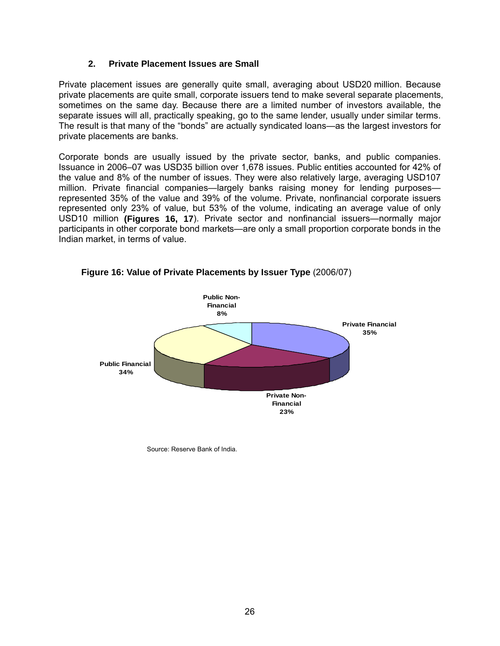#### **2. Private Placement Issues are Small**

Private placement issues are generally quite small, averaging about USD20 million. Because private placements are quite small, corporate issuers tend to make several separate placements, sometimes on the same day. Because there are a limited number of investors available, the separate issues will all, practically speaking, go to the same lender, usually under similar terms. The result is that many of the "bonds" are actually syndicated loans—as the largest investors for private placements are banks.

Corporate bonds are usually issued by the private sector, banks, and public companies. Issuance in 2006–07 was USD35 billion over 1,678 issues. Public entities accounted for 42% of the value and 8% of the number of issues. They were also relatively large, averaging USD107 million. Private financial companies—largely banks raising money for lending purposes represented 35% of the value and 39% of the volume. Private, nonfinancial corporate issuers represented only 23% of value, but 53% of the volume, indicating an average value of only USD10 million **(Figures 16, 17**). Private sector and nonfinancial issuers—normally major participants in other corporate bond markets—are only a small proportion corporate bonds in the Indian market, in terms of value.





Source: Reserve Bank of India.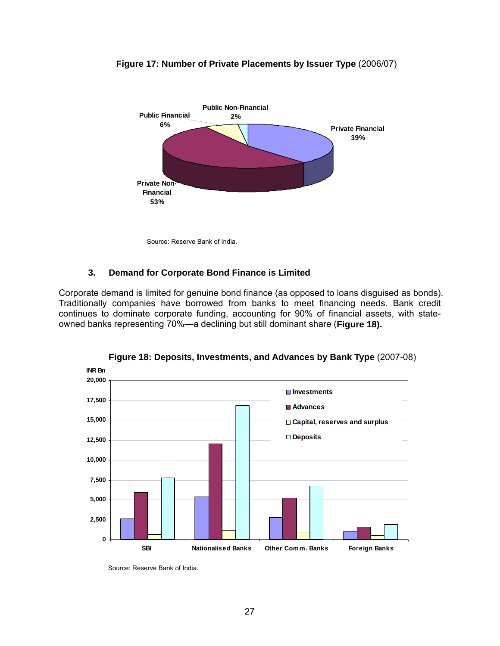

#### **Figure 17: Number of Private Placements by Issuer Type** (2006/07)

Source: Reserve Bank of India.

# **3. Demand for Corporate Bond Finance is Limited**

Corporate demand is limited for genuine bond finance (as opposed to loans disguised as bonds). Traditionally companies have borrowed from banks to meet financing needs. Bank credit continues to dominate corporate funding, accounting for 90% of financial assets, with stateowned banks representing 70%—a declining but still dominant share (**Figure 18).** 



 **Figure 18: Deposits, Investments, and Advances by Bank Type** (2007-08)

Source: Reserve Bank of India.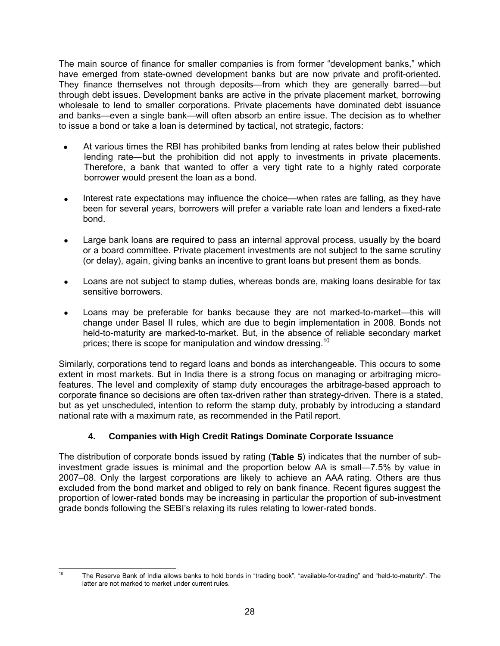The main source of finance for smaller companies is from former "development banks," which have emerged from state-owned development banks but are now private and profit-oriented. They finance themselves not through deposits—from which they are generally barred—but through debt issues. Development banks are active in the private placement market, borrowing wholesale to lend to smaller corporations. Private placements have dominated debt issuance and banks—even a single bank—will often absorb an entire issue. The decision as to whether to issue a bond or take a loan is determined by tactical, not strategic, factors:

- At various times the RBI has prohibited banks from lending at rates below their published lending rate—but the prohibition did not apply to investments in private placements. Therefore, a bank that wanted to offer a very tight rate to a highly rated corporate borrower would present the loan as a bond.
- Interest rate expectations may influence the choice—when rates are falling, as they have been for several years, borrowers will prefer a variable rate loan and lenders a fixed-rate bond.
- Large bank loans are required to pass an internal approval process, usually by the board or a board committee. Private placement investments are not subject to the same scrutiny (or delay), again, giving banks an incentive to grant loans but present them as bonds.
- Loans are not subject to stamp duties, whereas bonds are, making loans desirable for tax sensitive borrowers.
- Loans may be preferable for banks because they are not marked-to-market—this will change under Basel II rules, which are due to begin implementation in 2008. Bonds not held-to-maturity are marked-to-market. But, in the absence of reliable secondary market prices; there is scope for manipulation and window dressing.<sup>10</sup>

Similarly, corporations tend to regard loans and bonds as interchangeable. This occurs to some extent in most markets. But in India there is a strong focus on managing or arbitraging microfeatures. The level and complexity of stamp duty encourages the arbitrage-based approach to corporate finance so decisions are often tax-driven rather than strategy-driven. There is a stated, but as yet unscheduled, intention to reform the stamp duty, probably by introducing a standard national rate with a maximum rate, as recommended in the Patil report.

# **4. Companies with High Credit Ratings Dominate Corporate Issuance**

The distribution of corporate bonds issued by rating (**Table 5**) indicates that the number of subinvestment grade issues is minimal and the proportion below AA is small—7.5% by value in 2007–08. Only the largest corporations are likely to achieve an AAA rating. Others are thus excluded from the bond market and obliged to rely on bank finance. Recent figures suggest the proportion of lower-rated bonds may be increasing in particular the proportion of sub-investment grade bonds following the SEBI's relaxing its rules relating to lower-rated bonds.

 $10<sup>10</sup>$ 

The Reserve Bank of India allows banks to hold bonds in "trading book", "available-for-trading" and "held-to-maturity". The latter are not marked to market under current rules.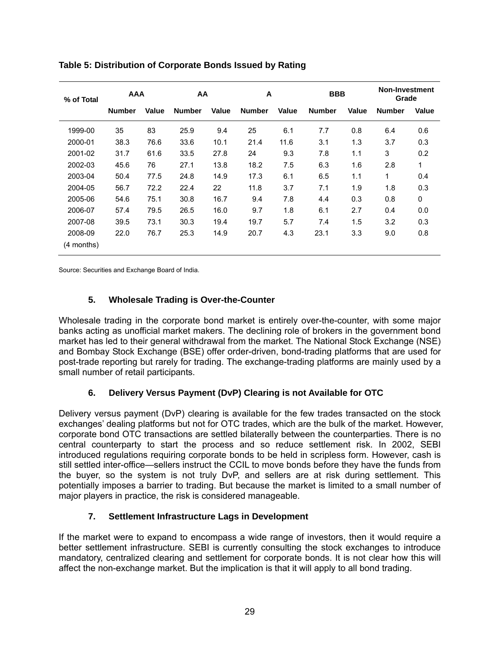| % of Total | <b>AAA</b>    |       | AA            |       | A             |              | <b>BBB</b>    |       | Non-Investment<br>Grade |       |
|------------|---------------|-------|---------------|-------|---------------|--------------|---------------|-------|-------------------------|-------|
|            | <b>Number</b> | Value | <b>Number</b> | Value | <b>Number</b> | <b>Value</b> | <b>Number</b> | Value | <b>Number</b>           | Value |
| 1999-00    | 35            | 83    | 25.9          | 9.4   | 25            | 6.1          | 7.7           | 0.8   | 6.4                     | 0.6   |
| 2000-01    | 38.3          | 76.6  | 33.6          | 10.1  | 21.4          | 11.6         | 3.1           | 1.3   | 3.7                     | 0.3   |
| 2001-02    | 31.7          | 61.6  | 33.5          | 27.8  | 24            | 9.3          | 7.8           | 1.1   | 3                       | 0.2   |
| 2002-03    | 45.6          | 76    | 27.1          | 13.8  | 18.2          | 7.5          | 6.3           | 1.6   | 2.8                     | 1     |
| 2003-04    | 50.4          | 77.5  | 24.8          | 14.9  | 17.3          | 6.1          | 6.5           | 1.1   | 1                       | 0.4   |
| 2004-05    | 56.7          | 72.2  | 22.4          | 22    | 11.8          | 3.7          | 7.1           | 1.9   | 1.8                     | 0.3   |
| 2005-06    | 54.6          | 75.1  | 30.8          | 16.7  | 9.4           | 7.8          | 4.4           | 0.3   | 0.8                     | 0     |
| 2006-07    | 57.4          | 79.5  | 26.5          | 16.0  | 9.7           | 1.8          | 6.1           | 2.7   | 0.4                     | 0.0   |
| 2007-08    | 39.5          | 73.1  | 30.3          | 19.4  | 19.7          | 5.7          | 7.4           | 1.5   | 3.2                     | 0.3   |
| 2008-09    | 22.0          | 76.7  | 25.3          | 14.9  | 20.7          | 4.3          | 23.1          | 3.3   | 9.0                     | 0.8   |
| (4 months) |               |       |               |       |               |              |               |       |                         |       |

### **Table 5: Distribution of Corporate Bonds Issued by Rating**

Source: Securities and Exchange Board of India.

# **5. Wholesale Trading is Over-the-Counter**

Wholesale trading in the corporate bond market is entirely over-the-counter, with some major banks acting as unofficial market makers. The declining role of brokers in the government bond market has led to their general withdrawal from the market. The National Stock Exchange (NSE) and Bombay Stock Exchange (BSE) offer order-driven, bond-trading platforms that are used for post-trade reporting but rarely for trading. The exchange-trading platforms are mainly used by a small number of retail participants.

# **6. Delivery Versus Payment (DvP) Clearing is not Available for OTC**

Delivery versus payment (DvP) clearing is available for the few trades transacted on the stock exchanges' dealing platforms but not for OTC trades, which are the bulk of the market. However, corporate bond OTC transactions are settled bilaterally between the counterparties. There is no central counterparty to start the process and so reduce settlement risk. In 2002, SEBI introduced regulations requiring corporate bonds to be held in scripless form. However, cash is still settled inter-office—sellers instruct the CCIL to move bonds before they have the funds from the buyer, so the system is not truly DvP, and sellers are at risk during settlement. This potentially imposes a barrier to trading. But because the market is limited to a small number of major players in practice, the risk is considered manageable.

#### **7. Settlement Infrastructure Lags in Development**

If the market were to expand to encompass a wide range of investors, then it would require a better settlement infrastructure. SEBI is currently consulting the stock exchanges to introduce mandatory, centralized clearing and settlement for corporate bonds. It is not clear how this will affect the non-exchange market. But the implication is that it will apply to all bond trading.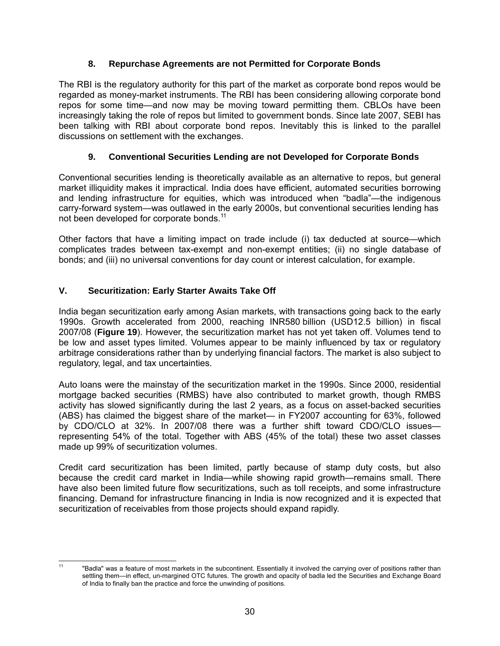### **8. Repurchase Agreements are not Permitted for Corporate Bonds**

The RBI is the regulatory authority for this part of the market as corporate bond repos would be regarded as money-market instruments. The RBI has been considering allowing corporate bond repos for some time—and now may be moving toward permitting them. CBLOs have been increasingly taking the role of repos but limited to government bonds. Since late 2007, SEBI has been talking with RBI about corporate bond repos. Inevitably this is linked to the parallel discussions on settlement with the exchanges.

# **9. Conventional Securities Lending are not Developed for Corporate Bonds**

Conventional securities lending is theoretically available as an alternative to repos, but general market illiquidity makes it impractical. India does have efficient, automated securities borrowing and lending infrastructure for equities, which was introduced when "badla"—the indigenous carry-forward system—was outlawed in the early 2000s, but conventional securities lending has not been developed for corporate bonds.<sup>11</sup>

Other factors that have a limiting impact on trade include (i) tax deducted at source—which complicates trades between tax-exempt and non-exempt entities; (ii) no single database of bonds; and (iii) no universal conventions for day count or interest calculation, for example.

# **V. Securitization: Early Starter Awaits Take Off**

India began securitization early among Asian markets, with transactions going back to the early 1990s. Growth accelerated from 2000, reaching INR580 billion (USD12.5 billion) in fiscal 2007/08 (**Figure 19**). However, the securitization market has not yet taken off. Volumes tend to be low and asset types limited. Volumes appear to be mainly influenced by tax or regulatory arbitrage considerations rather than by underlying financial factors. The market is also subject to regulatory, legal, and tax uncertainties.

Auto loans were the mainstay of the securitization market in the 1990s. Since 2000, residential mortgage backed securities (RMBS) have also contributed to market growth, though RMBS activity has slowed significantly during the last 2 years, as a focus on asset-backed securities (ABS) has claimed the biggest share of the market— in FY2007 accounting for 63%, followed by CDO/CLO at 32%. In 2007/08 there was a further shift toward CDO/CLO issues representing 54% of the total. Together with ABS (45% of the total) these two asset classes made up 99% of securitization volumes.

Credit card securitization has been limited, partly because of stamp duty costs, but also because the credit card market in India—while showing rapid growth—remains small. There have also been limited future flow securitizations, such as toll receipts, and some infrastructure financing. Demand for infrastructure financing in India is now recognized and it is expected that securitization of receivables from those projects should expand rapidly.

 $11$ 11 "Badla" was a feature of most markets in the subcontinent. Essentially it involved the carrying over of positions rather than settling them—in effect, un-margined OTC futures. The growth and opacity of badla led the Securities and Exchange Board of India to finally ban the practice and force the unwinding of positions.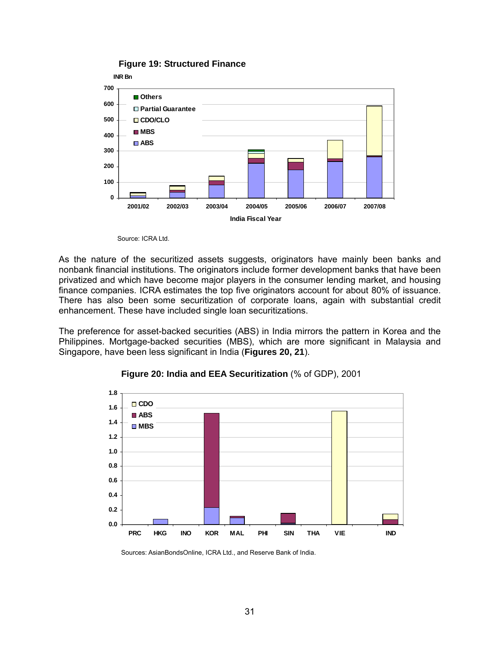

#### **Figure 19: Structured Finance**



As the nature of the securitized assets suggests, originators have mainly been banks and nonbank financial institutions. The originators include former development banks that have been privatized and which have become major players in the consumer lending market, and housing finance companies. ICRA estimates the top five originators account for about 80% of issuance. There has also been some securitization of corporate loans, again with substantial credit enhancement. These have included single loan securitizations.

The preference for asset-backed securities (ABS) in India mirrors the pattern in Korea and the Philippines. Mortgage-backed securities (MBS), which are more significant in Malaysia and Singapore, have been less significant in India (**Figures 20, 21**).



 **Figure 20: India and EEA Securitization** (% of GDP), 2001

Sources: AsianBondsOnline, ICRA Ltd., and Reserve Bank of India.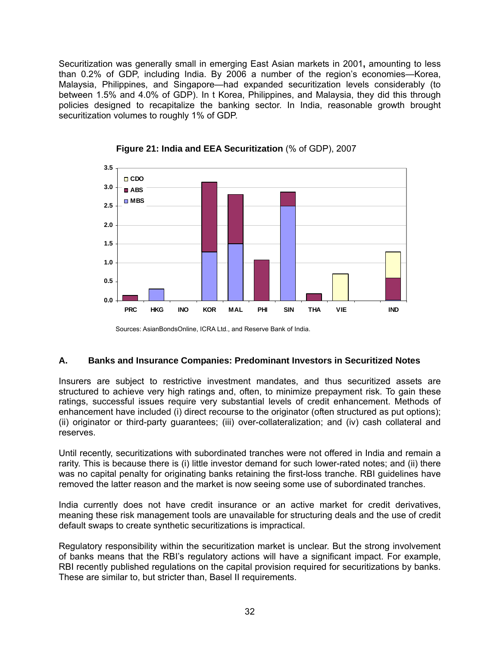Securitization was generally small in emerging East Asian markets in 2001**,** amounting to less than 0.2% of GDP, including India. By 2006 a number of the region's economies—Korea, Malaysia, Philippines, and Singapore—had expanded securitization levels considerably (to between 1.5% and 4.0% of GDP). In t Korea, Philippines, and Malaysia, they did this through policies designed to recapitalize the banking sector. In India, reasonable growth brought securitization volumes to roughly 1% of GDP.



 **Figure 21: India and EEA Securitization** (% of GDP), 2007

# **A. Banks and Insurance Companies: Predominant Investors in Securitized Notes**

Insurers are subject to restrictive investment mandates, and thus securitized assets are structured to achieve very high ratings and, often, to minimize prepayment risk. To gain these ratings, successful issues require very substantial levels of credit enhancement. Methods of enhancement have included (i) direct recourse to the originator (often structured as put options); (ii) originator or third-party guarantees; (iii) over-collateralization; and (iv) cash collateral and reserves.

Until recently, securitizations with subordinated tranches were not offered in India and remain a rarity. This is because there is (i) little investor demand for such lower-rated notes; and (ii) there was no capital penalty for originating banks retaining the first-loss tranche. RBI guidelines have removed the latter reason and the market is now seeing some use of subordinated tranches.

India currently does not have credit insurance or an active market for credit derivatives, meaning these risk management tools are unavailable for structuring deals and the use of credit default swaps to create synthetic securitizations is impractical.

Regulatory responsibility within the securitization market is unclear. But the strong involvement of banks means that the RBI's regulatory actions will have a significant impact. For example, RBI recently published regulations on the capital provision required for securitizations by banks. These are similar to, but stricter than, Basel II requirements.

Sources: AsianBondsOnline, ICRA Ltd., and Reserve Bank of India.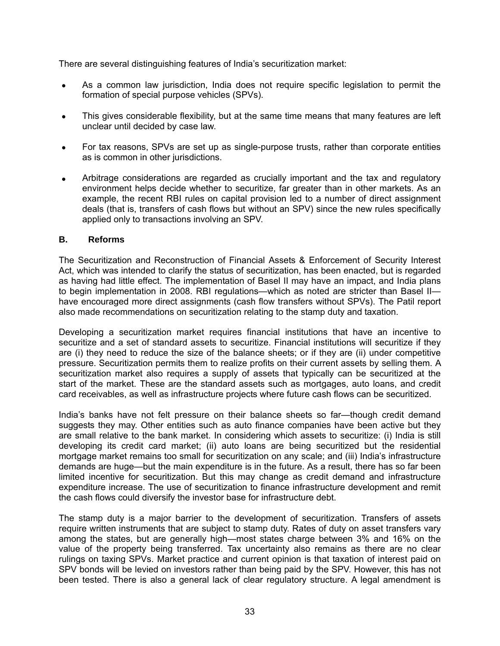There are several distinguishing features of India's securitization market:

- As a common law jurisdiction, India does not require specific legislation to permit the formation of special purpose vehicles (SPVs).
- This gives considerable flexibility, but at the same time means that many features are left unclear until decided by case law.
- For tax reasons, SPVs are set up as single-purpose trusts, rather than corporate entities as is common in other jurisdictions.
- Arbitrage considerations are regarded as crucially important and the tax and regulatory environment helps decide whether to securitize, far greater than in other markets. As an example, the recent RBI rules on capital provision led to a number of direct assignment deals (that is, transfers of cash flows but without an SPV) since the new rules specifically applied only to transactions involving an SPV.

#### **B. Reforms**

The Securitization and Reconstruction of Financial Assets & Enforcement of Security Interest Act, which was intended to clarify the status of securitization, has been enacted, but is regarded as having had little effect. The implementation of Basel II may have an impact, and India plans to begin implementation in 2008. RBI regulations—which as noted are stricter than Basel II have encouraged more direct assignments (cash flow transfers without SPVs). The Patil report also made recommendations on securitization relating to the stamp duty and taxation.

Developing a securitization market requires financial institutions that have an incentive to securitize and a set of standard assets to securitize. Financial institutions will securitize if they are (i) they need to reduce the size of the balance sheets; or if they are (ii) under competitive pressure. Securitization permits them to realize profits on their current assets by selling them. A securitization market also requires a supply of assets that typically can be securitized at the start of the market. These are the standard assets such as mortgages, auto loans, and credit card receivables, as well as infrastructure projects where future cash flows can be securitized.

India's banks have not felt pressure on their balance sheets so far—though credit demand suggests they may. Other entities such as auto finance companies have been active but they are small relative to the bank market. In considering which assets to securitize: (i) India is still developing its credit card market; (ii) auto loans are being securitized but the residential mortgage market remains too small for securitization on any scale; and (iii) India's infrastructure demands are huge—but the main expenditure is in the future. As a result, there has so far been limited incentive for securitization. But this may change as credit demand and infrastructure expenditure increase. The use of securitization to finance infrastructure development and remit the cash flows could diversify the investor base for infrastructure debt.

The stamp duty is a major barrier to the development of securitization. Transfers of assets require written instruments that are subject to stamp duty. Rates of duty on asset transfers vary among the states, but are generally high—most states charge between 3% and 16% on the value of the property being transferred. Tax uncertainty also remains as there are no clear rulings on taxing SPVs. Market practice and current opinion is that taxation of interest paid on SPV bonds will be levied on investors rather than being paid by the SPV. However, this has not been tested. There is also a general lack of clear regulatory structure. A legal amendment is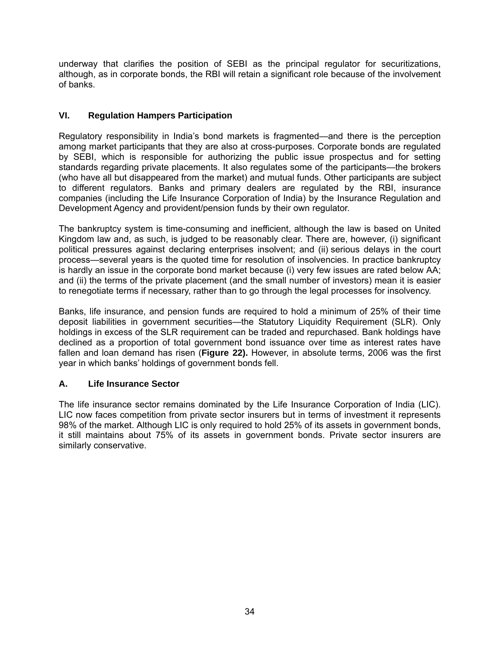underway that clarifies the position of SEBI as the principal regulator for securitizations, although, as in corporate bonds, the RBI will retain a significant role because of the involvement of banks.

### **VI. Regulation Hampers Participation**

Regulatory responsibility in India's bond markets is fragmented—and there is the perception among market participants that they are also at cross-purposes. Corporate bonds are regulated by SEBI, which is responsible for authorizing the public issue prospectus and for setting standards regarding private placements. It also regulates some of the participants—the brokers (who have all but disappeared from the market) and mutual funds. Other participants are subject to different regulators. Banks and primary dealers are regulated by the RBI, insurance companies (including the Life Insurance Corporation of India) by the Insurance Regulation and Development Agency and provident/pension funds by their own regulator.

The bankruptcy system is time-consuming and inefficient, although the law is based on United Kingdom law and, as such, is judged to be reasonably clear. There are, however, (i) significant political pressures against declaring enterprises insolvent; and (ii) serious delays in the court process—several years is the quoted time for resolution of insolvencies. In practice bankruptcy is hardly an issue in the corporate bond market because (i) very few issues are rated below AA; and (ii) the terms of the private placement (and the small number of investors) mean it is easier to renegotiate terms if necessary, rather than to go through the legal processes for insolvency.

Banks, life insurance, and pension funds are required to hold a minimum of 25% of their time deposit liabilities in government securities—the Statutory Liquidity Requirement (SLR). Only holdings in excess of the SLR requirement can be traded and repurchased. Bank holdings have declined as a proportion of total government bond issuance over time as interest rates have fallen and loan demand has risen (**Figure 22).** However, in absolute terms, 2006 was the first year in which banks' holdings of government bonds fell.

# **A. Life Insurance Sector**

The life insurance sector remains dominated by the Life Insurance Corporation of India (LIC). LIC now faces competition from private sector insurers but in terms of investment it represents 98% of the market. Although LIC is only required to hold 25% of its assets in government bonds, it still maintains about 75% of its assets in government bonds. Private sector insurers are similarly conservative.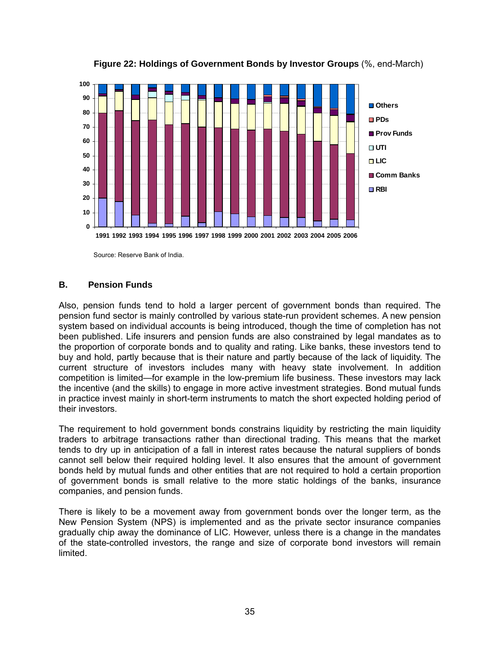

 **Figure 22: Holdings of Government Bonds by Investor Groups** (%, end-March)

Source: Reserve Bank of India.

#### **B. Pension Funds**

Also, pension funds tend to hold a larger percent of government bonds than required. The pension fund sector is mainly controlled by various state-run provident schemes. A new pension system based on individual accounts is being introduced, though the time of completion has not been published. Life insurers and pension funds are also constrained by legal mandates as to the proportion of corporate bonds and to quality and rating. Like banks, these investors tend to buy and hold, partly because that is their nature and partly because of the lack of liquidity. The current structure of investors includes many with heavy state involvement. In addition competition is limited—for example in the low-premium life business. These investors may lack the incentive (and the skills) to engage in more active investment strategies. Bond mutual funds in practice invest mainly in short-term instruments to match the short expected holding period of their investors.

The requirement to hold government bonds constrains liquidity by restricting the main liquidity traders to arbitrage transactions rather than directional trading. This means that the market tends to dry up in anticipation of a fall in interest rates because the natural suppliers of bonds cannot sell below their required holding level. It also ensures that the amount of government bonds held by mutual funds and other entities that are not required to hold a certain proportion of government bonds is small relative to the more static holdings of the banks, insurance companies, and pension funds.

There is likely to be a movement away from government bonds over the longer term, as the New Pension System (NPS) is implemented and as the private sector insurance companies gradually chip away the dominance of LIC. However, unless there is a change in the mandates of the state-controlled investors, the range and size of corporate bond investors will remain limited.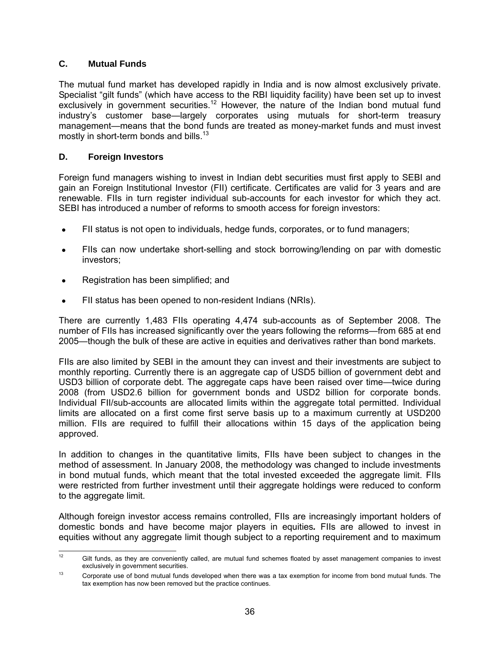# **C. Mutual Funds**

The mutual fund market has developed rapidly in India and is now almost exclusively private. Specialist "gilt funds" (which have access to the RBI liquidity facility) have been set up to invest exclusively in government securities.<sup>12</sup> However, the nature of the Indian bond mutual fund industry's customer base—largely corporates using mutuals for short-term treasury management—means that the bond funds are treated as money-market funds and must invest mostly in short-term bonds and bills.<sup>13</sup>

### **D. Foreign Investors**

Foreign fund managers wishing to invest in Indian debt securities must first apply to SEBI and gain an Foreign Institutional Investor (FII) certificate. Certificates are valid for 3 years and are renewable. FIIs in turn register individual sub-accounts for each investor for which they act. SEBI has introduced a number of reforms to smooth access for foreign investors:

- Fil status is not open to individuals, hedge funds, corporates, or to fund managers;
- FIIs can now undertake short-selling and stock borrowing/lending on par with domestic investors;
- Registration has been simplified; and
- FII status has been opened to non-resident Indians (NRIs).

There are currently 1,483 FIIs operating 4,474 sub-accounts as of September 2008. The number of FIIs has increased significantly over the years following the reforms—from 685 at end 2005—though the bulk of these are active in equities and derivatives rather than bond markets.

FIIs are also limited by SEBI in the amount they can invest and their investments are subject to monthly reporting. Currently there is an aggregate cap of USD5 billion of government debt and USD3 billion of corporate debt. The aggregate caps have been raised over time—twice during 2008 (from USD2.6 billion for government bonds and USD2 billion for corporate bonds. Individual FII/sub-accounts are allocated limits within the aggregate total permitted. Individual limits are allocated on a first come first serve basis up to a maximum currently at USD200 million. FIIs are required to fulfill their allocations within 15 days of the application being approved.

In addition to changes in the quantitative limits, FIIs have been subject to changes in the method of assessment. In January 2008, the methodology was changed to include investments in bond mutual funds, which meant that the total invested exceeded the aggregate limit. FIIs were restricted from further investment until their aggregate holdings were reduced to conform to the aggregate limit.

Although foreign investor access remains controlled, FIIs are increasingly important holders of domestic bonds and have become major players in equities*.* FIIs are allowed to invest in equities without any aggregate limit though subject to a reporting requirement and to maximum

 $12<sup>12</sup>$ Gilt funds, as they are conveniently called, are mutual fund schemes floated by asset management companies to invest exclusively in government securities.

 $13$  Corporate use of bond mutual funds developed when there was a tax exemption for income from bond mutual funds. The tax exemption has now been removed but the practice continues.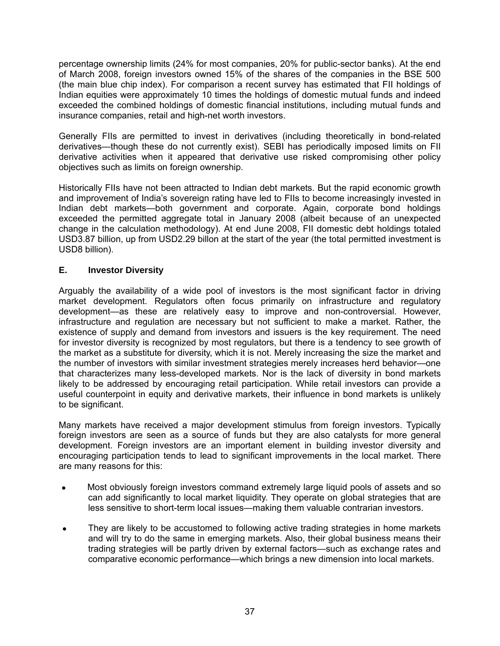percentage ownership limits (24% for most companies, 20% for public-sector banks). At the end of March 2008, foreign investors owned 15% of the shares of the companies in the BSE 500 (the main blue chip index). For comparison a recent survey has estimated that FII holdings of Indian equities were approximately 10 times the holdings of domestic mutual funds and indeed exceeded the combined holdings of domestic financial institutions, including mutual funds and insurance companies, retail and high-net worth investors.

Generally FIIs are permitted to invest in derivatives (including theoretically in bond-related derivatives—though these do not currently exist). SEBI has periodically imposed limits on FII derivative activities when it appeared that derivative use risked compromising other policy objectives such as limits on foreign ownership.

Historically FIIs have not been attracted to Indian debt markets. But the rapid economic growth and improvement of India's sovereign rating have led to FIIs to become increasingly invested in Indian debt markets—both government and corporate. Again, corporate bond holdings exceeded the permitted aggregate total in January 2008 (albeit because of an unexpected change in the calculation methodology). At end June 2008, FII domestic debt holdings totaled USD3.87 billion, up from USD2.29 billon at the start of the year (the total permitted investment is USD8 billion).

### **E. Investor Diversity**

Arguably the availability of a wide pool of investors is the most significant factor in driving market development. Regulators often focus primarily on infrastructure and regulatory development—as these are relatively easy to improve and non-controversial. However, infrastructure and regulation are necessary but not sufficient to make a market. Rather, the existence of supply and demand from investors and issuers is the key requirement. The need for investor diversity is recognized by most regulators, but there is a tendency to see growth of the market as a substitute for diversity, which it is not. Merely increasing the size the market and the number of investors with similar investment strategies merely increases herd behavior—one that characterizes many less-developed markets. Nor is the lack of diversity in bond markets likely to be addressed by encouraging retail participation. While retail investors can provide a useful counterpoint in equity and derivative markets, their influence in bond markets is unlikely to be significant.

Many markets have received a major development stimulus from foreign investors. Typically foreign investors are seen as a source of funds but they are also catalysts for more general development. Foreign investors are an important element in building investor diversity and encouraging participation tends to lead to significant improvements in the local market. There are many reasons for this:

- Most obviously foreign investors command extremely large liquid pools of assets and so can add significantly to local market liquidity. They operate on global strategies that are less sensitive to short-term local issues—making them valuable contrarian investors.
- They are likely to be accustomed to following active trading strategies in home markets and will try to do the same in emerging markets. Also, their global business means their trading strategies will be partly driven by external factors—such as exchange rates and comparative economic performance—which brings a new dimension into local markets.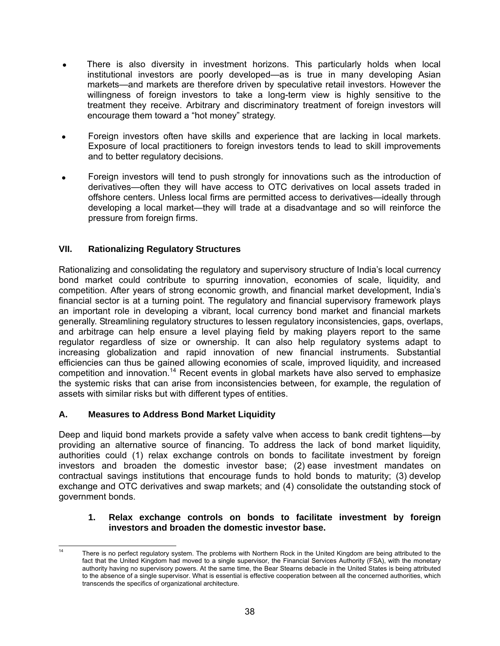- There is also diversity in investment horizons. This particularly holds when local institutional investors are poorly developed—as is true in many developing Asian markets—and markets are therefore driven by speculative retail investors. However the willingness of foreign investors to take a long-term view is highly sensitive to the treatment they receive. Arbitrary and discriminatory treatment of foreign investors will encourage them toward a "hot money" strategy.
- Foreign investors often have skills and experience that are lacking in local markets. Exposure of local practitioners to foreign investors tends to lead to skill improvements and to better regulatory decisions.
- Foreign investors will tend to push strongly for innovations such as the introduction of derivatives—often they will have access to OTC derivatives on local assets traded in offshore centers. Unless local firms are permitted access to derivatives—ideally through developing a local market—they will trade at a disadvantage and so will reinforce the pressure from foreign firms.

# **VII. Rationalizing Regulatory Structures**

Rationalizing and consolidating the regulatory and supervisory structure of India's local currency bond market could contribute to spurring innovation, economies of scale, liquidity, and competition. After years of strong economic growth, and financial market development, India's financial sector is at a turning point. The regulatory and financial supervisory framework plays an important role in developing a vibrant, local currency bond market and financial markets generally. Streamlining regulatory structures to lessen regulatory inconsistencies, gaps, overlaps, and arbitrage can help ensure a level playing field by making players report to the same regulator regardless of size or ownership. It can also help regulatory systems adapt to increasing globalization and rapid innovation of new financial instruments. Substantial efficiencies can thus be gained allowing economies of scale, improved liquidity, and increased competition and innovation.<sup>14</sup> Recent events in global markets have also served to emphasize the systemic risks that can arise from inconsistencies between, for example, the regulation of assets with similar risks but with different types of entities.

# **A. Measures to Address Bond Market Liquidity**

Deep and liquid bond markets provide a safety valve when access to bank credit tightens—by providing an alternative source of financing. To address the lack of bond market liquidity, authorities could (1) relax exchange controls on bonds to facilitate investment by foreign investors and broaden the domestic investor base; (2) ease investment mandates on contractual savings institutions that encourage funds to hold bonds to maturity; (3) develop exchange and OTC derivatives and swap markets; and (4) consolidate the outstanding stock of government bonds.

#### **1. Relax exchange controls on bonds to facilitate investment by foreign investors and broaden the domestic investor base.**

 $14$ There is no perfect regulatory system. The problems with Northern Rock in the United Kingdom are being attributed to the fact that the United Kingdom had moved to a single supervisor, the Financial Services Authority (FSA), with the monetary authority having no supervisory powers. At the same time, the Bear Stearns debacle in the United States is being attributed to the absence of a single supervisor. What is essential is effective cooperation between all the concerned authorities, which transcends the specifics of organizational architecture.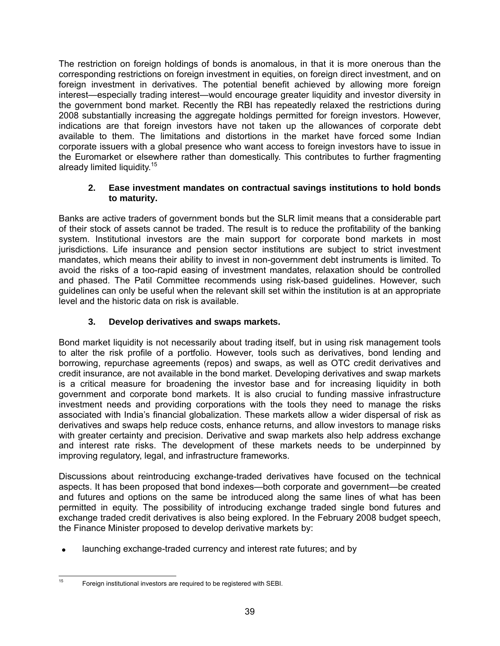The restriction on foreign holdings of bonds is anomalous, in that it is more onerous than the corresponding restrictions on foreign investment in equities, on foreign direct investment, and on foreign investment in derivatives. The potential benefit achieved by allowing more foreign interest—especially trading interest—would encourage greater liquidity and investor diversity in the government bond market. Recently the RBI has repeatedly relaxed the restrictions during 2008 substantially increasing the aggregate holdings permitted for foreign investors. However, indications are that foreign investors have not taken up the allowances of corporate debt available to them. The limitations and distortions in the market have forced some Indian corporate issuers with a global presence who want access to foreign investors have to issue in the Euromarket or elsewhere rather than domestically. This contributes to further fragmenting already limited liquidity.<sup>15</sup>

### **2. Ease investment mandates on contractual savings institutions to hold bonds to maturity.**

Banks are active traders of government bonds but the SLR limit means that a considerable part of their stock of assets cannot be traded. The result is to reduce the profitability of the banking system. Institutional investors are the main support for corporate bond markets in most jurisdictions. Life insurance and pension sector institutions are subject to strict investment mandates, which means their ability to invest in non-government debt instruments is limited. To avoid the risks of a too-rapid easing of investment mandates, relaxation should be controlled and phased. The Patil Committee recommends using risk-based guidelines. However, such guidelines can only be useful when the relevant skill set within the institution is at an appropriate level and the historic data on risk is available.

# **3. Develop derivatives and swaps markets.**

Bond market liquidity is not necessarily about trading itself, but in using risk management tools to alter the risk profile of a portfolio. However, tools such as derivatives, bond lending and borrowing, repurchase agreements (repos) and swaps, as well as OTC credit derivatives and credit insurance, are not available in the bond market. Developing derivatives and swap markets is a critical measure for broadening the investor base and for increasing liquidity in both government and corporate bond markets. It is also crucial to funding massive infrastructure investment needs and providing corporations with the tools they need to manage the risks associated with India's financial globalization. These markets allow a wider dispersal of risk as derivatives and swaps help reduce costs, enhance returns, and allow investors to manage risks with greater certainty and precision. Derivative and swap markets also help address exchange and interest rate risks. The development of these markets needs to be underpinned by improving regulatory, legal, and infrastructure frameworks.

Discussions about reintroducing exchange-traded derivatives have focused on the technical aspects. It has been proposed that bond indexes—both corporate and government—be created and futures and options on the same be introduced along the same lines of what has been permitted in equity. The possibility of introducing exchange traded single bond futures and exchange traded credit derivatives is also being explored. In the February 2008 budget speech, the Finance Minister proposed to develop derivative markets by:

• launching exchange-traded currency and interest rate futures; and by

 $15$ 15 Foreign institutional investors are required to be registered with SEBI.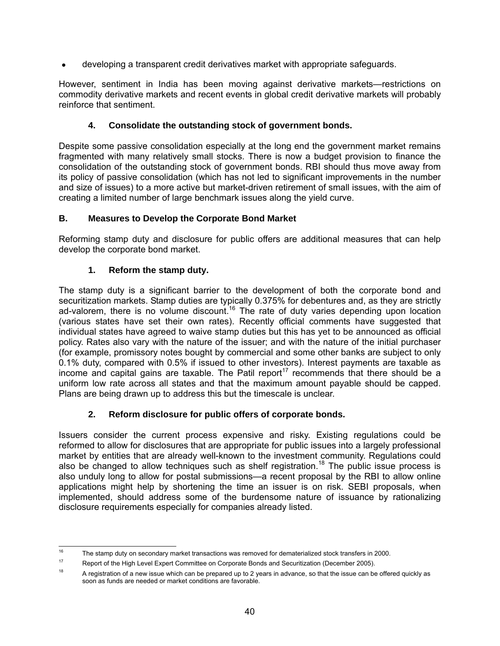• developing a transparent credit derivatives market with appropriate safeguards.

However, sentiment in India has been moving against derivative markets—restrictions on commodity derivative markets and recent events in global credit derivative markets will probably reinforce that sentiment.

# **4. Consolidate the outstanding stock of government bonds.**

Despite some passive consolidation especially at the long end the government market remains fragmented with many relatively small stocks. There is now a budget provision to finance the consolidation of the outstanding stock of government bonds. RBI should thus move away from its policy of passive consolidation (which has not led to significant improvements in the number and size of issues) to a more active but market-driven retirement of small issues, with the aim of creating a limited number of large benchmark issues along the yield curve.

# **B. Measures to Develop the Corporate Bond Market**

Reforming stamp duty and disclosure for public offers are additional measures that can help develop the corporate bond market.

# **1. Reform the stamp duty.**

The stamp duty is a significant barrier to the development of both the corporate bond and securitization markets. Stamp duties are typically 0.375% for debentures and, as they are strictly ad-valorem, there is no volume discount.<sup>16</sup> The rate of duty varies depending upon location (various states have set their own rates). Recently official comments have suggested that individual states have agreed to waive stamp duties but this has yet to be announced as official policy. Rates also vary with the nature of the issuer; and with the nature of the initial purchaser (for example, promissory notes bought by commercial and some other banks are subject to only 0.1% duty, compared with 0.5% if issued to other investors). Interest payments are taxable as income and capital gains are taxable. The Patil report<sup>17</sup> recommends that there should be a uniform low rate across all states and that the maximum amount payable should be capped. Plans are being drawn up to address this but the timescale is unclear.

# **2. Reform disclosure for public offers of corporate bonds.**

Issuers consider the current process expensive and risky. Existing regulations could be reformed to allow for disclosures that are appropriate for public issues into a largely professional market by entities that are already well-known to the investment community. Regulations could also be changed to allow techniques such as shelf registration.<sup>18</sup> The public issue process is also unduly long to allow for postal submissions—a recent proposal by the RBI to allow online applications might help by shortening the time an issuer is on risk. SEBI proposals, when implemented, should address some of the burdensome nature of issuance by rationalizing disclosure requirements especially for companies already listed.

 $16<sup>16</sup>$ The stamp duty on secondary market transactions was removed for dematerialized stock transfers in 2000.

<sup>&</sup>lt;sup>17</sup> Report of the High Level Expert Committee on Corporate Bonds and Securitization (December 2005).

<sup>&</sup>lt;sup>18</sup> A registration of a new issue which can be prepared up to 2 years in advance, so that the issue can be offered quickly as soon as funds are needed or market conditions are favorable.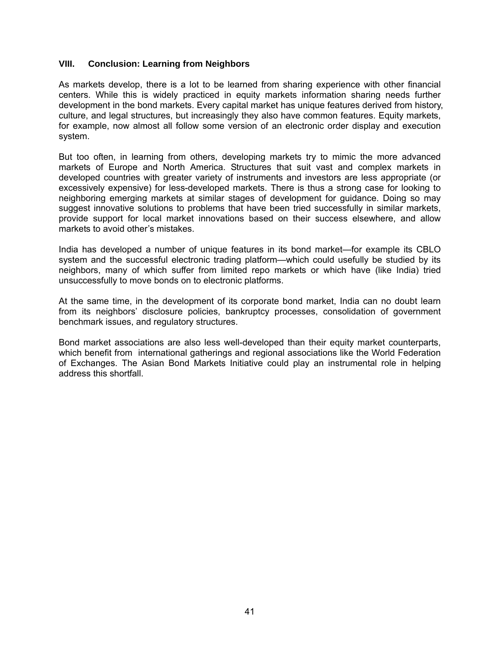#### **VIII. Conclusion: Learning from Neighbors**

As markets develop, there is a lot to be learned from sharing experience with other financial centers. While this is widely practiced in equity markets information sharing needs further development in the bond markets. Every capital market has unique features derived from history, culture, and legal structures, but increasingly they also have common features. Equity markets, for example, now almost all follow some version of an electronic order display and execution system.

But too often, in learning from others, developing markets try to mimic the more advanced markets of Europe and North America. Structures that suit vast and complex markets in developed countries with greater variety of instruments and investors are less appropriate (or excessively expensive) for less-developed markets. There is thus a strong case for looking to neighboring emerging markets at similar stages of development for guidance. Doing so may suggest innovative solutions to problems that have been tried successfully in similar markets, provide support for local market innovations based on their success elsewhere, and allow markets to avoid other's mistakes.

India has developed a number of unique features in its bond market—for example its CBLO system and the successful electronic trading platform—which could usefully be studied by its neighbors, many of which suffer from limited repo markets or which have (like India) tried unsuccessfully to move bonds on to electronic platforms.

At the same time, in the development of its corporate bond market, India can no doubt learn from its neighbors' disclosure policies, bankruptcy processes, consolidation of government benchmark issues, and regulatory structures.

Bond market associations are also less well-developed than their equity market counterparts, which benefit from international gatherings and regional associations like the World Federation of Exchanges. The Asian Bond Markets Initiative could play an instrumental role in helping address this shortfall.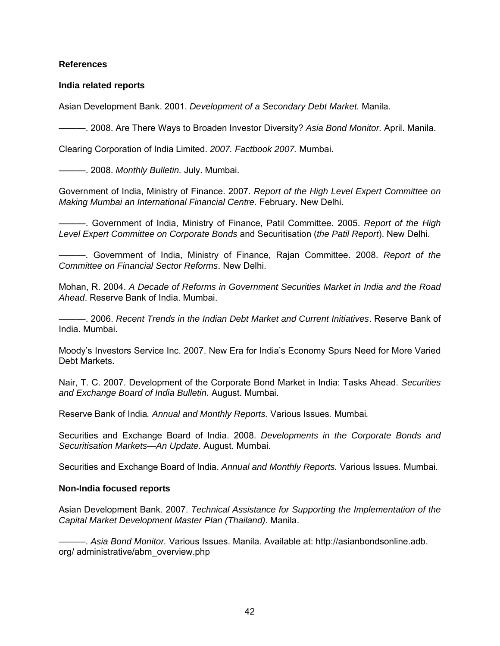#### **References**

#### **India related reports**

Asian Development Bank. 2001. *Development of a Secondary Debt Market.* Manila.

———. 2008. Are There Ways to Broaden Investor Diversity? *Asia Bond Monitor.* April. Manila.

Clearing Corporation of India Limited. *2007. Factbook 2007.* Mumbai.

———. 2008. *Monthly Bulletin.* July. Mumbai.

Government of India, Ministry of Finance. 2007. *Report of the High Level Expert Committee on Making Mumbai an International Financial Centre.* February. New Delhi.

———. Government of India, Ministry of Finance, Patil Committee. 2005. *Report of the High Level Expert Committee on Corporate Bonds* and Securitisation (*the Patil Report*). New Delhi.

———. Government of India, Ministry of Finance, Rajan Committee. 2008. *Report of the Committee on Financial Sector Reforms*. New Delhi.

Mohan, R. 2004. *A Decade of Reforms in Government Securities Market in India and the Road Ahead*. Reserve Bank of India. Mumbai.

———. 2006. *Recent Trends in the Indian Debt Market and Current Initiatives*. Reserve Bank of India. Mumbai.

Moody's Investors Service Inc. 2007. New Era for India's Economy Spurs Need for More Varied Debt Markets.

Nair, T. C. 2007. Development of the Corporate Bond Market in India: Tasks Ahead. *Securities and Exchange Board of India Bulletin.* August. Mumbai.

Reserve Bank of India*. Annual and Monthly Reports.* Various Issues*.* Mumbai*.* 

Securities and Exchange Board of India. 2008. *Developments in the Corporate Bonds and Securitisation Markets*—*An Update*. August. Mumbai.

Securities and Exchange Board of India. *Annual and Monthly Reports.* Various Issues*.* Mumbai.

#### **Non-India focused reports**

Asian Development Bank. 2007. *Technical Assistance for Supporting the Implementation of the Capital Market Development Master Plan (Thailand)*. Manila.

———. *Asia Bond Monitor.* Various Issues. Manila. Available at: http://asianbondsonline.adb. org/ administrative/abm\_overview.php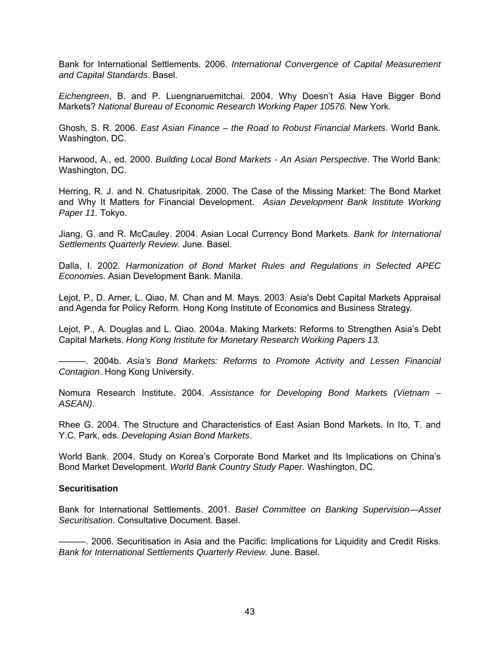Bank for International Settlements. 2006. *International Convergence of Capital Measurement and Capital Standards*. Basel.

*Eichengreen*, B. and P. Luengnaruemitchai. 2004. Why Doesn't Asia Have Bigger Bond Markets? *National Bureau of Economic Research Working Paper 10576.* New York.

Ghosh, S. R. 2006. *East Asian Finance – the Road to Robust Financial Markets*. World Bank. Washington, DC.

Harwood, A., ed. 2000. *Building Local Bond Markets - An Asian Perspective*. The World Bank: Washington, DC.

Herring, R. J. and N. Chatusripitak. 2000. The Case of the Missing Market: The Bond Market and Why It Matters for Financial Development. *Asian Development Bank Institute Working Paper 11.* Tokyo.

Jiang, G. and R. McCauley. 2004. Asian Local Currency Bond Markets*. Bank for International Settlements Quarterly Review.* June. Basel.

Dalla, I. 2002. *Harmonization of Bond Market Rules and Regulations in Selected APEC Economies*. Asian Development Bank. Manila.

Lejot, P., D. Arner, L. Qiao, M. Chan and M. Mays. 2003. Asia's Debt Capital Markets Appraisal and Agenda for Policy Reform*.* Hong Kong Institute of Economics and Business Strategy.

Lejot, P., A. Douglas and L. Qiao. 2004a. Making Markets: Reforms to Strengthen Asia's Debt Capital Markets. *Hong Kong Institute for Monetary Research Working Papers 13.*

———. 2004b. *Asia's Bond Markets: Reforms to Promote Activity and Lessen Financial Contagion*. Hong Kong University.

Nomura Research Institute. 2004. *Assistance for Developing Bond Markets (Vietnam – ASEAN)*.

Rhee G. 2004. The Structure and Characteristics of East Asian Bond Markets*.* In Ito, T. and Y.C. Park, eds. *Developing Asian Bond Markets*.

World Bank. 2004. Study on Korea's Corporate Bond Market and Its Implications on China's Bond Market Development. *World Bank Country Study Paper.* Washington, DC.

#### **Securitisation**

Bank for International Settlements. 2001. *Basel Committee on Banking Supervision—Asset Securitisation*. Consultative Document. Basel.

———. 2006. Securitisation in Asia and the Pacific: Implications for Liquidity and Credit Risks. *Bank for International Settlements Quarterly Review.* June. Basel.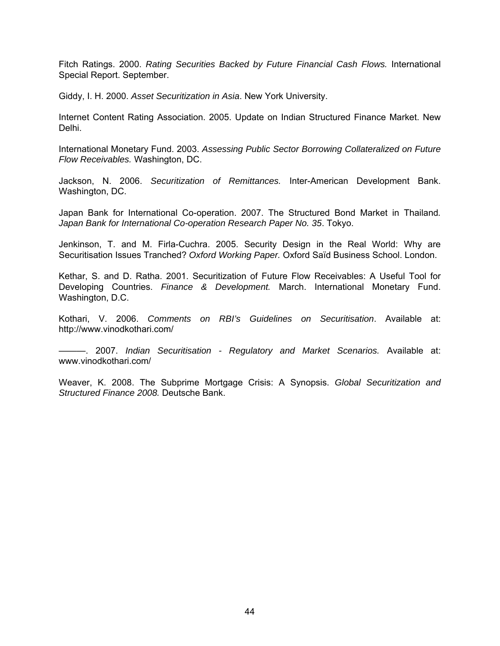Fitch Ratings. 2000. *Rating Securities Backed by Future Financial Cash Flows.* International Special Report. September.

Giddy, I. H. 2000. *Asset Securitization in Asia*. New York University.

Internet Content Rating Association. 2005. Update on Indian Structured Finance Market. New Delhi.

International Monetary Fund. 2003. *Assessing Public Sector Borrowing Collateralized on Future Flow Receivables.* Washington, DC.

Jackson, N. 2006. *Securitization of Remittances.* Inter-American Development Bank. Washington, DC.

Japan Bank for International Co-operation. 2007. The Structured Bond Market in Thailand*. Japan Bank for International Co-operation Research Paper No. 35*. Tokyo.

Jenkinson, T. and M. Firla-Cuchra. 2005. Security Design in the Real World: Why are Securitisation Issues Tranched? *Oxford Working Paper.* Oxford Saïd Business School. London.

Kethar, S. and D. Ratha. 2001. Securitization of Future Flow Receivables: A Useful Tool for Developing Countries. *Finance & Development.* March. International Monetary Fund. Washington, D.C.

Kothari, V. 2006. *Comments on RBI's Guidelines on Securitisation*. Available at: http://www.vinodkothari.com/

———. 2007. *Indian Securitisation - Regulatory and Market Scenarios.* Available at: www.vinodkothari.com/

Weaver, K. 2008. The Subprime Mortgage Crisis: A Synopsis. *Global Securitization and Structured Finance 2008.* Deutsche Bank.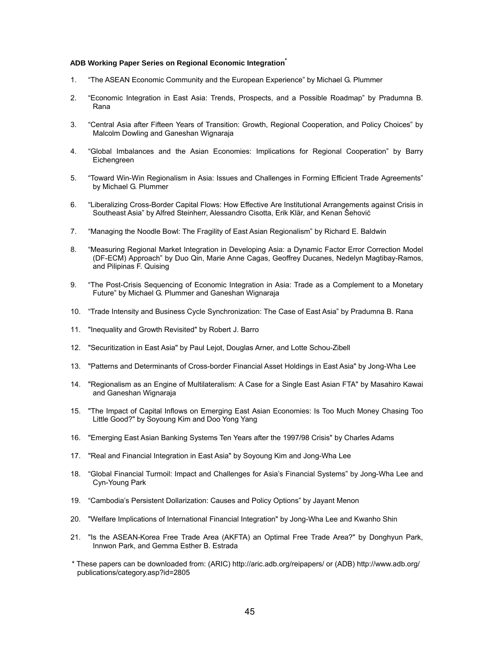#### **ADB Working Paper Series on Regional Economic Integration\***

- 1. "The ASEAN Economic Community and the European Experience" by Michael G. Plummer
- 2. "Economic Integration in East Asia: Trends, Prospects, and a Possible Roadmap" by Pradumna B. Rana
- 3. "Central Asia after Fifteen Years of Transition: Growth, Regional Cooperation, and Policy Choices" by Malcolm Dowling and Ganeshan Wignaraja
- 4. "Global Imbalances and the Asian Economies: Implications for Regional Cooperation" by Barry Eichengreen
- 5. "Toward Win-Win Regionalism in Asia: Issues and Challenges in Forming Efficient Trade Agreements" by Michael G. Plummer
- 6. "Liberalizing Cross-Border Capital Flows: How Effective Are Institutional Arrangements against Crisis in Southeast Asia" by Alfred Steinherr, Alessandro Cisotta, Erik Klär, and Kenan Šehović
- 7. "Managing the Noodle Bowl: The Fragility of East Asian Regionalism" by Richard E. Baldwin
- 8. "Measuring Regional Market Integration in Developing Asia: a Dynamic Factor Error Correction Model (DF-ECM) Approach" by Duo Qin, Marie Anne Cagas, Geoffrey Ducanes, Nedelyn Magtibay-Ramos, and Pilipinas F. Quising
- 9. "The Post-Crisis Sequencing of Economic Integration in Asia: Trade as a Complement to a Monetary Future" by Michael G. Plummer and Ganeshan Wignaraja
- 10. "Trade Intensity and Business Cycle Synchronization: The Case of East Asia" by Pradumna B. Rana
- 11. "Inequality and Growth Revisited" by Robert J. Barro
- 12. "Securitization in East Asia" by Paul Lejot, Douglas Arner, and Lotte Schou-Zibell
- 13. "Patterns and Determinants of Cross-border Financial Asset Holdings in East Asia" by Jong-Wha Lee
- 14. "Regionalism as an Engine of Multilateralism: A Case for a Single East Asian FTA" by Masahiro Kawai and Ganeshan Wignaraja
- 15. "The Impact of Capital Inflows on Emerging East Asian Economies: Is Too Much Money Chasing Too Little Good?" by Soyoung Kim and Doo Yong Yang
- 16. "Emerging East Asian Banking Systems Ten Years after the 1997/98 Crisis" by Charles Adams
- 17. "Real and Financial Integration in East Asia" by Soyoung Kim and Jong-Wha Lee
- 18. "Global Financial Turmoil: Impact and Challenges for Asia's Financial Systems" by Jong-Wha Lee and Cyn-Young Park
- 19. "Cambodia's Persistent Dollarization: Causes and Policy Options" by Jayant Menon
- 20. "Welfare Implications of International Financial Integration" by Jong-Wha Lee and Kwanho Shin
- 21. "Is the ASEAN-Korea Free Trade Area (AKFTA) an Optimal Free Trade Area?" by Donghyun Park, Innwon Park, and Gemma Esther B. Estrada
- \* These papers can be downloaded from: (ARIC) http://aric.adb.org/reipapers/ or (ADB) http://www.adb.org/ publications/category.asp?id=2805